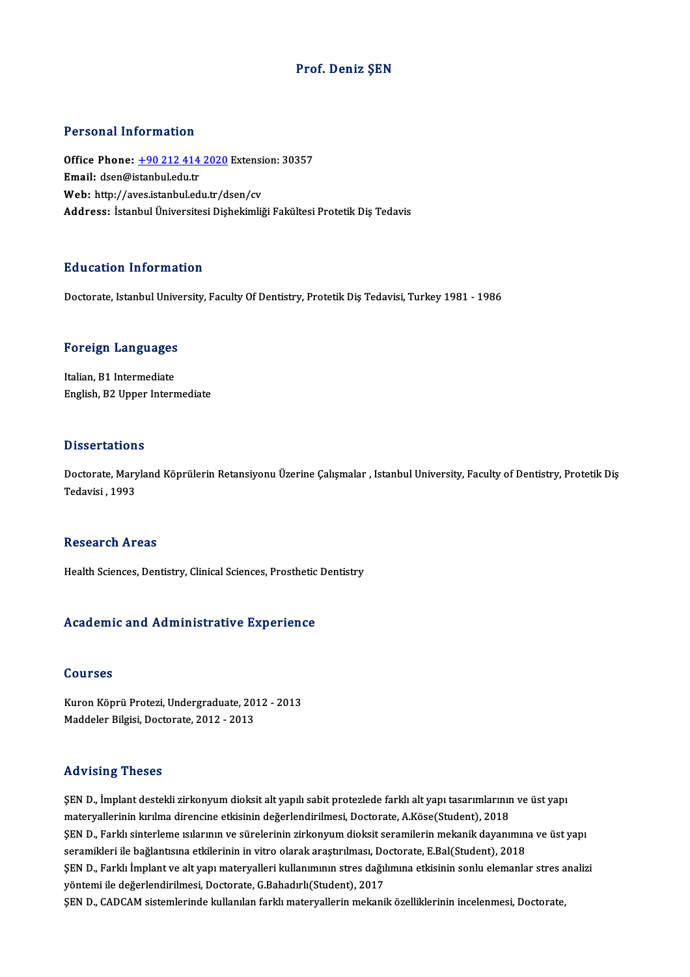### Prof. Deniz ŞEN

#### Personal Information

Personal Information<br>Office Phone: <u>+90 212 414 2020</u> Extension: 30357<br>Email: deen@istanbuledu.tr office Phone: <u>+90 212 414</u><br>Email: dsen@istanbul.edu.tr<br>Web. http://aves.istanbul.ed Office Phone: <u>+90 212 414 2020</u> Extensi<br>Email: dsen@istanbul.edu.tr<br>Web: http://a[ves.istanbul.edu.tr/d](tel:+90 212 414 2020)sen/cv<br>Address. Istanbul.i<sup>n</sup>iversitesi.Dishekimli Email: dsen@istanbul.edu.tr<br>Web: http://aves.istanbul.edu.tr/dsen/cv<br>Address: İstanbul Üniversitesi Dishekimliği Fakültesi Protetik Dis Tedavis

#### Education Information

Doctorate, Istanbul University, Faculty Of Dentistry, Protetik Diş Tedavisi, Turkey 1981 - 1986

# **Doctorate, istanbul Unive<br>Foreign Languages**

Foreign Languages<br>Italian, B1 Intermediate<br>English B2 Unner Intern Italian, B1 Intermediate<br>English, B2 Upper Intermediate

#### **Dissertations**

Dissertations<br>Doctorate, Maryland Köprülerin Retansiyonu Üzerine Çalışmalar , Istanbul University, Faculty of Dentistry, Protetik Diş<br>Tedavisi, 1993 2 13331 daeron<br>Doctorate, Mary<br>Tedavisi , 1993 Tedavisi , 1993<br>Research Areas

Health Sciences, Dentistry, Clinical Sciences, Prosthetic Dentistry

#### Academic and Administrative Experience

#### Courses

Courses<br>Kuron Köprü Protezi, Undergraduate, 2012 - 2013<br>Maddeler Bilgisi, Desterate, 2012 - 2013 SSA1988<br>Kuron Köprü Protezi, Undergraduate, 201<br>Maddeler Bilgisi, Doctorate, 2012 - 2013 Maddeler Bilgisi, Doctorate, 2012 - 2013<br>Advising Theses

ŞEND., İmplantdestekli zirkonyumdioksitaltyapılı sabitprotezlede farklıaltyapı tasarımlarınınve üstyapı materyalerininkırılma direncine etkisinindeğerlendirilmesi,Doctorate,A.Köse(Student),2018 ŞEN D., İmplant destekli zirkonyum dioksit alt yapılı sabit protezlede farklı alt yapı tasarımlarının ve üst yapı<br>materyallerinin kırılma direncine etkisinin değerlendirilmesi, Doctorate, A.Köse(Student), 2018<br>ŞEN D., Fark materyallerinin kırılma direncine etkisinin değerlendirilmesi, Doctorate, A.Köse(Student), 2018<br>ŞEN D., Farklı sinterleme ısılarının ve sürelerinin zirkonyum dioksit seramilerin mekanik dayanımın<br>seramikleri ile bağlantısı ŞEN D., Farklı sinterleme ısılarının ve sürelerinin zirkonyum dioksit seramilerin mekanik dayanımına ve üst yapı<br>seramikleri ile bağlantısına etkilerinin in vitro olarak araştırılması, Doctorate, E.Bal(Student), 2018<br>ŞEN D seramikleri ile bağlantısına etkilerinin in vitro olarak araştırılması, Doctorate, E.Bal(Student), 2018<br>ŞEN D., Farklı İmplant ve alt yapı materyalleri kullanımının stres dağılımına etkisinin sonlu elemanlar stres a<br>yöntem ŞEN D., Farklı İmplant ve alt yapı materyalleri kullanımının stres dağılımına etkisinin sonlu elemanlar stres a<br>yöntemi ile değerlendirilmesi, Doctorate, G.Bahadırlı(Student), 2017<br>ŞEN D., CADCAM sistemlerinde kullanılan f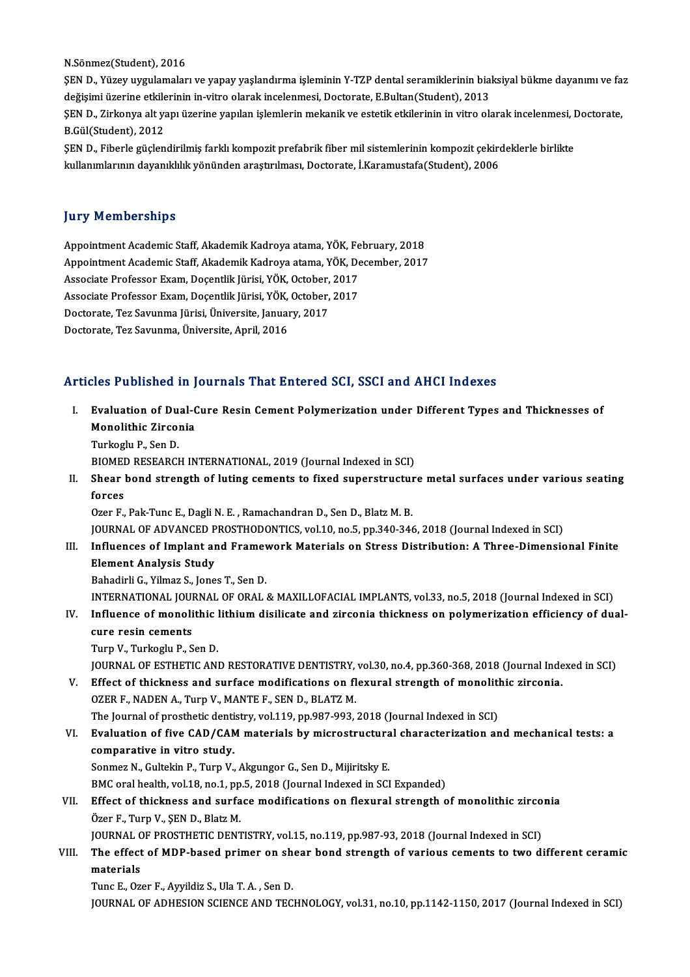N.Sönmez(Student),2016

N.Sönmez(Student), 2016<br>ŞEN D., Yüzey uygulamaları ve yapay yaşlandırma işleminin Y-TZP dental seramiklerinin biaksiyal bükme dayanımı ve faz<br>değisimi üzerine etkilerinin in vitre olarak incelenmesi. Desterate E Bultan(Stu N.Sönmez(Student), 2016<br>ŞEN D., Yüzey uygulamaları ve yapay yaşlandırma işleminin Y-TZP dental seramiklerinin bia<br>değişimi üzerine etkilerinin in-vitro olarak incelenmesi, Doctorate, E.Bultan(Student), 2013<br>SEN D. Zirkonya ŞEN D., Yüzey uygulamaları ve yapay yaşlandırma işleminin Y-TZP dental seramiklerinin biaksiyal bükme dayanımı ve fa<br>değişimi üzerine etkilerinin in-vitro olarak incelenmesi, Doctorate, E.Bultan(Student), 2013<br>ŞEN D., Zirk değişimi üzerine etkile<br>ŞEN D., Zirkonya alt ya<br>B.Gül(Student), 2012<br>SEN D., Fiberle güclen ŞEN D., Zirkonya alt yapı üzerine yapılan işlemlerin mekanik ve estetik etkilerinin in vitro olarak incelenmesi, I<br>B.Gül(Student), 2012<br>ŞEN D., Fiberle güçlendirilmiş farklı kompozit prefabrik fiber mil sistemlerinin kompo

B.Gül(Student), 2012<br>ŞEN D., Fiberle güçlendirilmiş farklı kompozit prefabrik fiber mil sistemlerinin kompozit çekirdeklerle birlikte<br>kullanımlarının dayanıklılık yönünden araştırılması, Doctorate, İ.Karamustafa(Student),

### **Jury Memberships**

**Jury Memberships<br>Appointment Academic Staff, Akademik Kadroya atama, YÖK, February, 2018<br>Anneintment Academie Staff, Akademik Kadroya atama, YÖK, Besember, 2017** Appointment Academic Staff, Akademik Kadroya atama, YÖK, February, 2018<br>Appointment Academic Staff, Akademik Kadroya atama, YÖK, December, 2017<br>Assesiste Brefessor Evam, Decentlik Kirisi, YÖK, Osteber, 2017 Appointment Academic Staff, Akademik Kadroya atama, YÖK, Fe<br>Appointment Academic Staff, Akademik Kadroya atama, YÖK, De<br>Associate Professor Exam, Doçentlik Jürisi, YÖK, October, 2017<br>Associate Professor Exam, Doçentlik Jür Appointment Academic Staff, Akademik Kadroya atama, YÖK, De<br>Associate Professor Exam, Doçentlik Jürisi, YÖK, October, 2017<br>Associate Professor Exam, Doçentlik Jürisi, YÖK, October, 2017<br>Postarata Ter Samnma Jürisi, Ünivers Associate Professor Exam, Doçentlik Jürisi, YÖK, October, 2017<br>Associate Professor Exam, Doçentlik Jürisi, YÖK, October, 2017<br>Doctorate, Tez Savunma Jürisi, Üniversite, January, 2017<br>Doctorate, Tez Savunma, Üniversite, Apr Associate Professor Exam, Docentlik Jürisi, YÖK, October, 2017

### Articles Published in Journals That Entered SCI, SSCI and AHCI Indexes

- rticles Published in Journals That Entered SCI, SSCI and AHCI Indexes<br>I. Evaluation of Dual-Cure Resin Cement Polymerization under Different Types and Thicknesses of<br>Manelithis Zirsonia Monolithic Zirconia<br>Evaluation of Dual-C<br>Monolithic Zirconia<br>Turkoslu B. Sen D. Evaluation of Du<br>Monolithic Zircol<br>Turkoglu P., Sen D.<br>PIOMED BESEARCH Monolithic Zirconia<br>Turkoglu P., Sen D.<br>BIOMED RESEARCH INTERNATIONAL, 2019 (Journal Indexed in SCI)<br>Sheer bond strength of luting sements to fixed sunerstructur
	-

Turkoglu P., Sen D.<br>BIOMED RESEARCH INTERNATIONAL, 2019 (Journal Indexed in SCI)<br>II. Shear bond strength of luting cements to fixed superstructure metal surfaces under various seating<br>forces BIOMEI<br>Shear<br>forces<br>Ozer E

Ozer F., Pak-Tunc E., Dagli N. E., Ramachandran D., Sen D., Blatz M. B.

JOURNAL OF ADVANCED PROSTHODONTICS, vol.10, no.5, pp.340-346, 2018 (Journal Indexed in SCI)

- Ozer F., Pak-Tunc E., Dagli N. E. , Ramachandran D., Sen D., Blatz M. B.<br>JOURNAL OF ADVANCED PROSTHODONTICS, vol.10, no.5, pp.340-346, 2018 (Journal Indexed in SCI)<br>III. Influences of Implant and Framework Materials on Str Element Analysis Study<br>Bahadirli G., Yilmaz S., Jones T., Sen D. Influences of Implant and Framey<br>Element Analysis Study<br>Bahadirli G., Yilmaz S., Jones T., Sen D.<br>INTERNATIONAL JOURNAL OF ORAL
	-

INTERNATIONAL JOURNAL OF ORAL & MAXILLOFACIAL IMPLANTS, vol.33, no.5, 2018 (Journal Indexed in SCI)

## Bahadirli G., Yilmaz S., Jones T., Sen D.<br>INTERNATIONAL JOURNAL OF ORAL & MAXILLOFACIAL IMPLANTS, vol.33, no.5, 2018 (Journal Indexed in SCI)<br>IV. Influence of monolithic lithium disilicate and zirconia thickness on polymer INTERNATIONAL JOUI<br>Influence of monoli<br>cure resin cements<br>Turn V. Turkoslu B. S **Influence of monolithic |<br>cure resin cements<br>Turp V., Turkoglu P., Sen D.<br>JOUPNAL OF ESTUETIC ANI**

cure resin cements<br>Turp V., Turkoglu P., Sen D.<br>JOURNAL OF ESTHETIC AND RESTORATIVE DENTISTRY, vol.30, no.4, pp.360-368, 2018 (Journal Indexed in SCI)<br>Effect of thickness and surface modifications on florural strongth of m Turp V., Turkoglu P., Sen D.<br>JOURNAL OF ESTHETIC AND RESTORATIVE DENTISTRY, vol.30, no.4, pp.360-368, 2018 (Journal Inde<br>V. Effect of thickness and surface modifications on flexural strength of monolithic zirconia.<br>OZER E.

- JOURNAL OF ESTHETIC AND RESTORATIVE DENTISTRY,<br>Effect of thickness and surface modifications on fl<br>OZER F., NADEN A., Turp V., MANTE F., SEN D., BLATZ M.<br>The Journal of prostbatic dentistry, yol 119, pp.997,992 Effect of thickness and surface modifications on flexural strength of monolition CZER F., NADEN A., Turp V., MANTE F., SEN D., BLATZ M.<br>The Journal of prosthetic dentistry, vol.119, pp.987-993, 2018 (Journal Indexed in SCI
- OZER F., NADEN A., Turp V., MANTE F., SEN D., BLATZ M.<br>The Journal of prosthetic dentistry, vol.119, pp.987-993, 2018 (Journal Indexed in SCI)<br>VI. Evaluation of five CAD/CAM materials by microstructural characterization an The Journal of prosthetic denti<br>Evaluation of five CAD/CAN<br>comparative in vitro study.<br>Sonmes N. Cultekin B. Turn V.

Sonmez N., Gultekin P., Turp V., Akgungor G., Sen D., Mijiritsky E.

BMC oral health, vol.18, no.1, pp.5, 2018 (Journal Indexed in SCI Expanded)

VII. Effect of thickness and surface modifications on flexural strength of monolithic zirconia Özer F., Turp V., ŞEN D., Blatz M. Effect of thickness and surface modifications on flexural strength of monolithic zirco<br>Özer F., Turp V., ŞEN D., Blatz M.<br>JOURNAL OF PROSTHETIC DENTISTRY, vol.15, no.119, pp.987-93, 2018 (Journal Indexed in SCI)<br>The effect

VIII. The effect of MDP-based primer on shear bond strength of various cements to two different ceramic materials JOURNAL<br>The effect<br>materials<br>Tune E. Oz

Tunc E., Ozer F., Ayyildiz S., Ula T. A., Sen D.

JOURNAL OF ADHESION SCIENCE AND TECHNOLOGY, vol.31, no.10, pp.1142-1150, 2017 (Journal Indexed in SCI)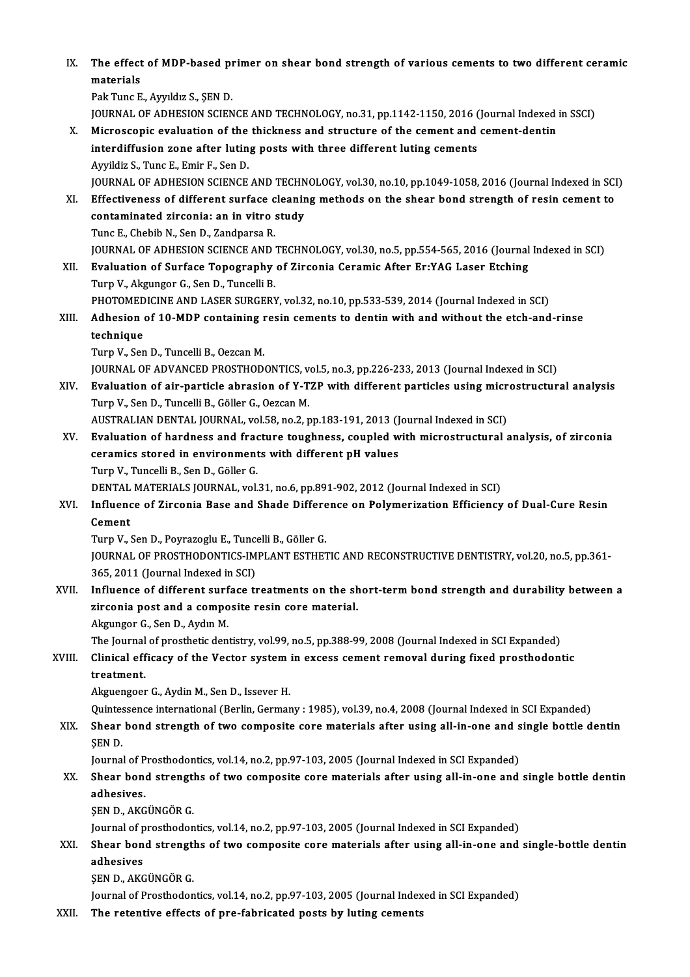IX. The effect of MDP-based primer on shear bond strength of various cements to two different ceramic<br>matarials The effect<br>materials<br><sup>Pok Tung E</sup> materials<br>Pak Tunc E., Ayyıldız S., ŞEN D.

JOURNAL OF ADHESION SCIENCE AND TECHNOLOGY, no.31, pp.1142-1150, 2016 (Journal Indexed in SSCI)

- X. Microscopic evaluation of the thickness and structure of the cement and cement-dentin JOURNAL OF ADHESION SCIENCE AND TECHNOLOGY, no.31, pp.1142-1150, 2016 (<br>Microscopic evaluation of the thickness and structure of the cement and<br>interdiffusion zone after luting posts with three different luting cements<br>Aur Microscopic evaluation of the<br>interdiffusion zone after lutin<br>Ayyildiz S., Tunc E., Emir F., Sen D.<br>JOUPNAL OF ADUESION SCIENCE Ayyildiz S., Tunc E., Emir F., Sen D.<br>JOURNAL OF ADHESION SCIENCE AND TECHNOLOGY, vol.30, no.10, pp.1049-1058, 2016 (Journal Indexed in SCI)
- Ayyildiz S., Tunc E., Emir F., Sen D.<br>JOURNAL OF ADHESION SCIENCE AND TECHNOLOGY, vol.30, no.10, pp.1049-1058, 2016 (Journal Indexed in SCI<br>XI. Effectiveness of different surface cleaning methods on the shear bond strength JOURNAL OF ADHESION SCIENCE AND TECHN<br>Effectiveness of different surface cleanin<br>contaminated zirconia: an in vitro study<br>Tune E. Chebib N. Sen D. Zandnarse B. Effectiveness of different surface c<br>contaminated zirconia: an in vitro :<br>Tunc E., Chebib N., Sen D., Zandparsa R.<br>JOUPNAL OF ADHESION SCIENCE AND : contaminated zirconia: an in vitro study<br>Tunc E., Chebib N., Sen D., Zandparsa R.<br>JOURNAL OF ADHESION SCIENCE AND TECHNOLOGY, vol.30, no.5, pp.554-565, 2016 (Journal Indexed in SCI)
- XII. Evaluation of Surface Topography of Zirconia Ceramic After Er:YAG Laser Etching Turp V., Akgungor G., Sen D., Tuncelli B. Evaluation of Surface Topography of Zirconia Ceramic After Er:YAG Laser Etching<br>Turp V., Akgungor G., Sen D., Tuncelli B.<br>PHOTOMEDICINE AND LASER SURGERY, vol.32, no.10, pp.533-539, 2014 (Journal Indexed in SCI)<br>Adhesian o
- Turp V., Akgungor G., Sen D., Tuncelli B.<br>PHOTOMEDICINE AND LASER SURGERY, vol.32, no.10, pp.533-539, 2014 (Journal Indexed in SCI)<br>XIII. Adhesion of 10-MDP containing resin cements to dentin with and without the etch-PHOTOMED<br>Adhesion<br>technique<br>Turn V. Ser Adhesion of 10-MDP containing r<br>technique<br>Turp V., Sen D., Tuncelli B., Oezcan M.<br>JOUPNAL OF ADVANCED PROSTUOD:
	-

technique<br>Turp V., Sen D., Tuncelli B., Oezcan M.<br>JOURNAL OF ADVANCED PROSTHODONTICS, vol.5, no.3, pp.226-233, 2013 (Journal Indexed in SCI)

Turp V., Sen D., Tuncelli B., Oezcan M.<br>JOURNAL OF ADVANCED PROSTHODONTICS, vol.5, no.3, pp.226-233, 2013 (Journal Indexed in SCI)<br>XIV. Evaluation of air-particle abrasion of Y-TZP with different particles using micros JOURNAL OF ADVANCED PROSTHODONTICS, v<br>Evaluation of air-particle abrasion of Y-T<br>Turp V., Sen D., Tuncelli B., Göller G., Oezcan M.<br>AUSTRALIAN DENTAL JOURNAL vol 58 no.2 r Evaluation of air-particle abrasion of Y-TZP with different particles using micr<br>Turp V., Sen D., Tuncelli B., Göller G., Oezcan M.<br>AUSTRALIAN DENTAL JOURNAL, vol.58, no.2, pp.183-191, 2013 (Journal Indexed in SCI)<br>Evaluat Turp V., Sen D., Tuncelli B., Göller G., Oezcan M.<br>AUSTRALIAN DENTAL JOURNAL, vol.58, no.2, pp.183-191, 2013 (Journal Indexed in SCI)<br>XV. Evaluation of hardness and fracture toughness, coupled with microstructural anal

AUSTRALIAN DENTAL JOURNAL, vol.58, no.2, pp.183-191, 2013 (J<br>Evaluation of hardness and fracture toughness, coupled w<br>ceramics stored in environments with different pH values<br>Turn V. Turcelli P. Sen D. Gäller G Evaluation of hardness and frace<br>
reramics stored in environment<br>Turp V., Tuncelli B., Sen D., Göller G.<br>DENTAL MATERIALS JOURNAL vol Turp V., Tuncelli B., Sen D., Göller G.<br>DENTAL MATERIALS JOURNAL, vol.31, no.6, pp.891-902, 2012 (Journal Indexed in SCI)

Turp V., Tuncelli B., Sen D., Göller G.<br>DENTAL MATERIALS JOURNAL, vol.31, no.6, pp.891-902, 2012 (Journal Indexed in SCI)<br>XVI. Influence of Zirconia Base and Shade Difference on Polymerization Efficiency of Dual-Cure R DENTAL<br>Influend<br>Cement<br>Turn V Influence of Zirconia Base and Shade Differe<br>Cement<br>Turp V., Sen D., Poyrazoglu E., Tuncelli B., Göller G.<br>JOUPMAL OF PROSTHODONTICS IMPLANT ESTHET

Cement<br>Turp V., Sen D., Poyrazoglu E., Tuncelli B., Göller G.<br>JOURNAL OF PROSTHODONTICS-IMPLANT ESTHETIC AND RECONSTRUCTIVE DENTISTRY, vol.20, no.5, pp.361-<br>365, 2011 (Journal Indexed in SCI) Turp V., Sen D., Poyrazoglu E., Tuncelli B., Göller G. JOURNAL OF PROSTHODONTICS-IMPLANT ESTHETIC AND RECONSTRUCTIVE DENTISTRY, vol.20, no.5, pp.361-<br>365, 2011 (Journal Indexed in SCI)<br>XVII. Influence of different surface treatments on the short-term bond strength and durabili

365, 2011 (Journal Indexed in SCI)<br>Influence of different surface treatments on the sh<br>zirconia post and a composite resin core material. Influence of different surf<br>zirconia post and a compo<br>Akgungor G., Sen D., Aydın M.<br>The Journal of presthetis den zirconia post and a composite resin core material.<br>Akgungor G., Sen D., Aydın M.<br>The Journal of prosthetic dentistry, vol.99, no.5, pp.388-99, 2008 (Journal Indexed in SCI Expanded)<br>Clinical officeau of the Vestor system i

## Akgungor G., Sen D., Aydın M.<br>The Journal of prosthetic dentistry, vol.99, no.5, pp.388-99, 2008 (Journal Indexed in SCI Expanded)<br>XVIII. Clinical efficacy of the Vector system in excess cement removal during fixed pro The Journal<br>Clinical eff<br>treatment.<br>Akgyongooy Clinical efficacy of the Vector system in excess cement removal during fixed prosthodontic<br>treatment.<br>Akguengoer G., Aydin M., Sen D., Issever H. treatment.<br>Akguengoer G., Aydin M., Sen D., Issever H.<br>Quintessence international (Berlin, Germany : 1985), vol.39, no.4, 2008 (Journal Indexed in SCI Expanded)<br>Shear bond strength of two somnosite sore materials after usi

XIX. Shear bond strength of two composite core materials after using all-in-one and single bottle dentin<br>SEN D. Quintes<br>Shear<br>ŞEN D.<br>Journa

Journal of Prosthodontics, vol.14, no.2, pp.97-103, 2005 (Journal Indexed in SCI Expanded)

## \$EN D.<br>Journal of Prosthodontics, vol.14, no.2, pp.97-103, 2005 (Journal Indexed in SCI Expanded)<br>XX. Shear bond strengths of two composite core materials after using all-in-one and single bottle dentin<br>adhesives Journal of P<br><mark>Shear bon</mark><br>adhesives.<br>SEN D. A*VC* Shear bond strengt<br>adhesives.<br>ŞEN D., AKGÜNGÖR G.<br>Journal of prostbodor adhesives.<br>ŞEN D., AKGÜNGÖR G.<br>Journal of prosthodontics, vol.14, no.2, pp.97-103, 2005 (Journal Indexed in SCI Expanded)<br>Shear bond strengthe of ture composite sore materials ofter using all in one and

## \$EN D., AKGÜNGÖR G.<br>Journal of prosthodontics, vol.14, no.2, pp.97-103, 2005 (Journal Indexed in SCI Expanded)<br>XXI. Shear bond strengths of two composite core materials after using all-in-one and single-bottle dentin Journal of p<br><mark>Shear bon</mark><br>adhesives<br>SEN D A*VC* Shear bond strengt<br>adhesives<br>ŞEN D., AKGÜNGÖR G.<br>Journal of Prestheder adhesives<br>ŞEN D., AKGÜNGÖR G.<br>Journal of Prosthodontics, vol.14, no.2, pp.97-103, 2005 (Journal Indexed in SCI Expanded)

XXII. The retentive effects of pre-fabricated posts by luting cements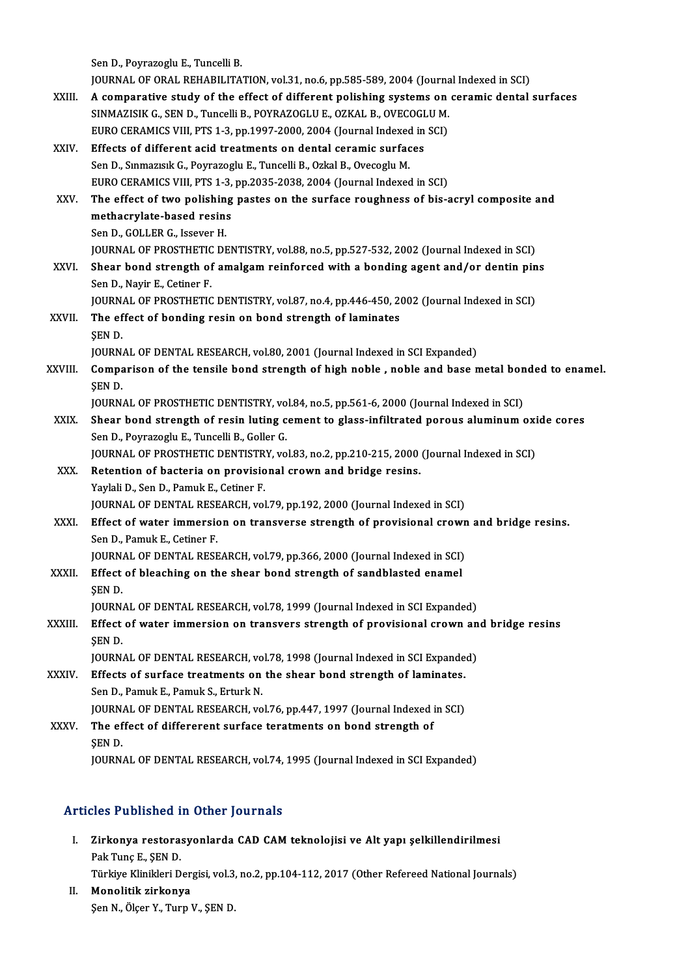Sen D., Poyrazoglu E., Tuncelli B.

Sen D., Poyrazoglu E., Tuncelli B.<br>JOURNAL OF ORAL REHABILITATION, vol.31, no.6, pp.585-589, 2004 (Journal Indexed in SCI)<br>A composative study of the effect of different poliching systems on consmis dental.

- Sen D., Poyrazoglu E., Tuncelli B.<br>JOURNAL OF ORAL REHABILITATION, vol.31, no.6, pp.585-589, 2004 (Journal Indexed in SCI)<br>XXIII. A comparative study of the effect of different polishing systems on ceramic dental surfaces JOURNAL OF ORAL REHABILITATION, vol.31, no.6, pp.585-589, 2004 (Journal)<br>A comparative study of the effect of different polishing systems on<br>SINMAZISIK G., SEN D., Tuncelli B., POYRAZOGLU E., OZKAL B., OVECOGLU M.<br>FURO CER A comparative study of the effect of different polishing systems on<br>SINMAZISIK G., SEN D., Tuncelli B., POYRAZOGLU E., OZKAL B., OVECOGLU M.<br>EURO CERAMICS VIII, PTS 1-3, pp.1997-2000, 2004 (Journal Indexed in SCI)<br>Effects
- SINMAZISIK G., SEN D., Tuncelli B., POYRAZOGLU E., OZKAL B., OVECOGI<br>EURO CERAMICS VIII, PTS 1-3, pp.1997-2000, 2004 (Journal Indexed in<br>XXIV. Effects of different acid treatments on dental ceramic surfaces<br>San D. Sumaguak EURO CERAMICS VIII, PTS 1-3, pp.1997-2000, 2004 (Journal Indexed in SCI)<br>Effects of different acid treatments on dental ceramic surfaces<br>Sen D., Sınmazısık G., Poyrazoglu E., Tuncelli B., Ozkal B., Ovecoglu M.<br>EURO CERAMIC Effects of different acid treatments on dental ceramic surfaces<br>Sen D., Sınmazısık G., Poyrazoglu E., Tuncelli B., Ozkal B., Ovecoglu M.<br>EURO CERAMICS VIII, PTS 1-3, pp.2035-2038, 2004 (Journal Indexed in SCI)<br>The effect o Sen D., Sinmazisik G., Poyrazoglu E., Tuncelli B., Ozkal B., Ovecoglu M.<br>EURO CERAMICS VIII, PTS 1-3, pp.2035-2038, 2004 (Journal Indexed in SCI)<br>XXV. The effect of two polishing pastes on the surface roughness of bis-acry EURO CERAMICS VIII, PTS 1-3,<br>The effect of two polishing<br>methacrylate-based resins<br>Sep D. COLLER C. Isseuer H The effect of two polishin<br>methacrylate-based resin:<br>Sen D., GOLLER G., Issever H.<br>JOUPMAL OF PROSTUETIC DE methacrylate-based resins<br>Sen D., GOLLER G., Issever H.<br>JOURNAL OF PROSTHETIC DENTISTRY, vol.88, no.5, pp.527-532, 2002 (Journal Indexed in SCI) XXVI. Shear bond strength of amalgam reinforced with a bonding agent and/or dentin pins SenD.,Nayir E.,Cetiner F. Shear bond strength of amalgam reinforced with a bonding agent and/or dentin pin<br>Sen D., Nayir E., Cetiner F.<br>JOURNAL OF PROSTHETIC DENTISTRY, vol.87, no.4, pp.446-450, 2002 (Journal Indexed in SCI)<br>The effect of bonding r Sen D., Nayir E., Cetiner F.<br>JOURNAL OF PROSTHETIC DENTISTRY, vol.87, no.4, pp.446-450, 2<br>XXVII. The effect of bonding resin on bond strength of laminates JOURN.<br>The ef<br>ŞEN D.<br>JOUPN. The effect of bonding resin on bond strength of laminates<br>SEN D.<br>JOURNAL OF DENTAL RESEARCH, vol.80, 2001 (Journal Indexed in SCI Expanded) SEN D.<br>JOURNAL OF DENTAL RESEARCH, vol.80, 2001 (Journal Indexed in SCI Expanded)<br>XXVIII. Comparison of the tensile bond strength of high noble , noble and base metal bonded to enamel.<br>SEN D JOURN.<br>Compa<br>ŞEN D.<br>JOUPN. Comparison of the tensile bond strength of high noble , noble and base metal bon<br>SEN D.<br>JOURNAL OF PROSTHETIC DENTISTRY, vol.84, no.5, pp.561-6, 2000 (Journal Indexed in SCI)<br>Shear bond strength of resin luting sement to g SEN D.<br>JOURNAL OF PROSTHETIC DENTISTRY, vol.84, no.5, pp.561-6, 2000 (Journal Indexed in SCI)<br>XXIX. Shear bond strength of resin luting cement to glass-infiltrated porous aluminum oxide cores Sen D., Poyrazoglu E., Tuncelli B., Goller G. Shear bond strength of resin luting cement to glass-infiltrated porous aluminum oxi<br>Sen D., Poyrazoglu E., Tuncelli B., Goller G.<br>JOURNAL OF PROSTHETIC DENTISTRY, vol.83, no.2, pp.210-215, 2000 (Journal Indexed in SCI)<br>Ret Sen D., Poyrazoglu E., Tuncelli B., Goller G.<br>JOURNAL OF PROSTHETIC DENTISTRY, vol.83, no.2, pp.210-215, 2000<br>XXX. Retention of bacteria on provisional crown and bridge resins.<br>Variali D. San D. Pamuk E. Catinor F. **JOURNAL OF PROSTHETIC DENTISTR<br>Retention of bacteria on provisio<br>Yaylali D., Sen D., Pamuk E., Cetiner F.<br>JOUPNAL OF DENTAL BESEARCH vol** Retention of bacteria on provisional crown and bridge resins.<br>Yaylali D., Sen D., Pamuk E., Cetiner F.<br>JOURNAL OF DENTAL RESEARCH, vol.79, pp.192, 2000 (Journal Indexed in SCI)
- Yaylali D., Sen D., Pamuk E., Cetiner F.<br>JOURNAL OF DENTAL RESEARCH, vol.79, pp.192, 2000 (Journal Indexed in SCI)<br>XXXI. Effect of water immersion on transverse strength of provisional crown and bridge resins.<br>Sen D. Bamuk SenD.,PamukE.,Cetiner F. Effect of water immersion on transverse strength of provisional crown<br>Sen D., Pamuk E., Cetiner F.<br>JOURNAL OF DENTAL RESEARCH, vol.79, pp.366, 2000 (Journal Indexed in SCI)<br>Effect of blessbing on the shear bond strength of JOURNAL OF DENTAL RESEARCH, vol.79, pp.366, 2000 (Journal Indexed in SCI)
- XXXII. Effect of bleaching on the shear bond strength of sandblasted enamel<br>SEN D. Effect of bleaching on the shear bond strength of sandblasted enamel<br>SEN D.<br>JOURNAL OF DENTAL RESEARCH, vol.78, 1999 (Journal Indexed in SCI Expanded)<br>Effect of water immersion on transvers strength of provisional speym on SEN D.<br>JOURNAL OF DENTAL RESEARCH, vol.78, 1999 (Journal Indexed in SCI Expanded)<br>XXXIII. Effect of water immersion on transvers strength of provisional crown and bridge resins<br>CEN D.
- JOURN.<br><mark>Effect</mark><br>ŞEN D.<br>JOUPN. Effect of water immersion on transvers strength of provisional crown an<br>SEN D.<br>JOURNAL OF DENTAL RESEARCH, vol.78, 1998 (Journal Indexed in SCI Expanded)<br>Effects of surface treatments on the shear bond strength of laminate SEN D.<br>JOURNAL OF DENTAL RESEARCH, vol.78, 1998 (Journal Indexed in SCI Expande<br>XXXIV. Effects of surface treatments on the shear bond strength of laminates.<br>Son D. Pamuk E. Pamuk S. Erturk N.

- JOURNAL OF DENTAL RESEARCH, vol.78, 1998 (Journal Indexed in SCI Expanded)<br>Effects of surface treatments on the shear bond strength of laminates.<br>Sen D., Pamuk E., Pamuk S., Erturk N. Effects of surface treatments on the shear bond strength of laminates.<br>Sen D., Pamuk E., Pamuk S., Erturk N.<br>JOURNAL OF DENTAL RESEARCH, vol.76, pp.447, 1997 (Journal Indexed in SCI)<br>The effect of differerant surface terat Sen D., Pamuk E., Pamuk S., Erturk N.<br>JOURNAL OF DENTAL RESEARCH, vol.76, pp.447, 1997 (Journal Indexed in<br>XXXV. The effect of differerent surface teratments on bond strength of
- JOURN.<br>The ef<br>ŞEN D.<br>IOUPN The effect of differerent surface teratments on bond strength of<br>SEN D.<br>JOURNAL OF DENTAL RESEARCH, vol.74, 1995 (Journal Indexed in SCI Expanded)

### Articles Published in Other Journals

I. Zirkonya restorasyonlarda CAD CAM teknolojisi ve Alt yapı şelkillendirilmesi Pak Tunç E., ŞEN D. Zirkonya restorasyonlarda CAD CAM teknolojisi ve Alt yapı şelkillendirilmesi<br>Pak Tunç E., ŞEN D.<br>Türkiye Klinikleri Dergisi, vol.3, no.2, pp.104-112, 2017 (Other Refereed National Journals)<br>Manalitik girkonya

Pak Tunç E., ŞEN D.<br>Türkiye Klinikleri Der;<br>II. Monolitik zirkonya<br>Sen N. Ölsen V. Tunn I Türkiye Klinikleri Dergisi, vol.3<br><mark>Monolitik zirkonya</mark><br>Şen N., Ölçer Y., Turp V., ŞEN D.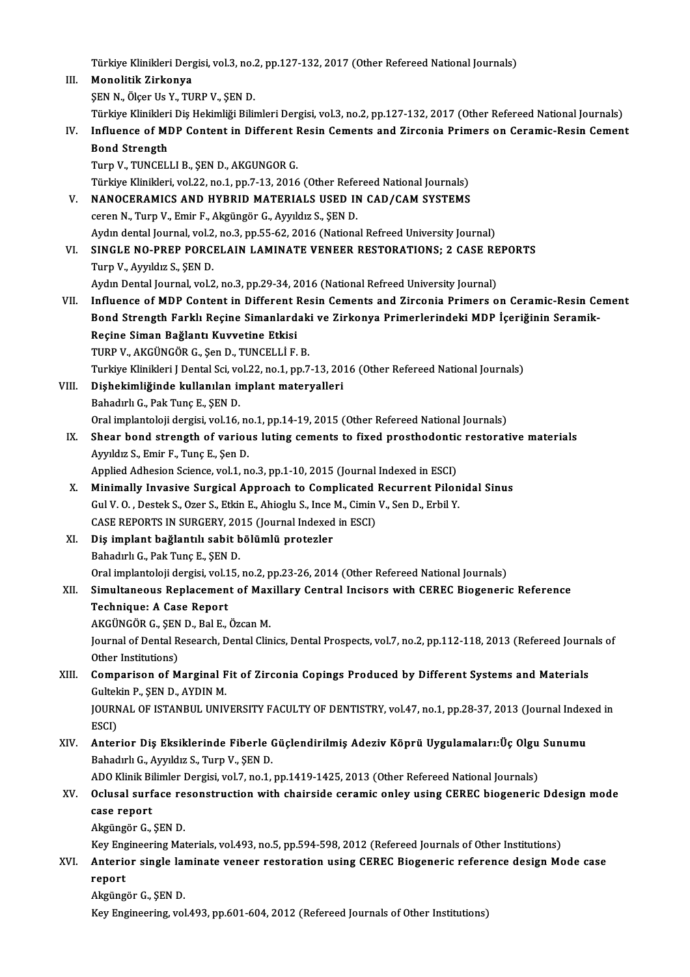|       | Türkiye Klinikleri Dergisi, vol.3, no.2, pp.127-132, 2017 (Other Refereed National Journals)                         |
|-------|----------------------------------------------------------------------------------------------------------------------|
| III.  | Monolitik Zirkonya                                                                                                   |
|       | SEN N., Ölçer Us Y., TURP V., ŞEN D.                                                                                 |
|       | Türkiye Klinikleri Diş Hekimliği Bilimleri Dergisi, vol.3, no.2, pp.127-132, 2017 (Other Refereed National Journals) |
| IV.   | Influence of MDP Content in Different Resin Cements and Zirconia Primers on Ceramic-Resin Cement                     |
|       | <b>Bond Strength</b>                                                                                                 |
|       | Turp V., TUNCELLI B., ŞEN D., AKGUNGOR G.                                                                            |
|       | Türkiye Klinikleri, vol.22, no.1, pp.7-13, 2016 (Other Refereed National Journals)                                   |
| V.    | NANOCERAMICS AND HYBRID MATERIALS USED IN CAD/CAM SYSTEMS                                                            |
|       | ceren N., Turp V., Emir F., Akgüngör G., Ayyıldız S., ŞEN D.                                                         |
|       | Aydın dental Journal, vol.2, no.3, pp.55-62, 2016 (National Refreed University Journal)                              |
| VI.   | SINGLE NO-PREP PORCELAIN LAMINATE VENEER RESTORATIONS; 2 CASE REPORTS                                                |
|       | Turp V., Ayyıldız S., ŞEN D.                                                                                         |
|       | Aydın Dental Journal, vol.2, no.3, pp.29-34, 2016 (National Refreed University Journal)                              |
| VII.  | Influence of MDP Content in Different Resin Cements and Zirconia Primers on Ceramic-Resin Cement                     |
|       | Bond Strength Farklı Reçine Simanlardaki ve Zirkonya Primerlerindeki MDP İçeriğinin Seramik-                         |
|       | Reçine Siman Bağlantı Kuvvetine Etkisi                                                                               |
|       | TURP V., AKGÜNGÖR G., Şen D., TUNCELLİ F. B.                                                                         |
|       | Turkiye Klinikleri J Dental Sci, vol.22, no.1, pp.7-13, 2016 (Other Refereed National Journals)                      |
| VIII. | Dişhekimliğinde kullanılan implant materyalleri                                                                      |
|       | Bahadırlı G., Pak Tunç E., ŞEN D.                                                                                    |
|       | Oral implantoloji dergisi, vol.16, no.1, pp.14-19, 2015 (Other Refereed National Journals)                           |
| IX.   | Shear bond strength of various luting cements to fixed prosthodontic restorative materials                           |
|       | Ayyıldız S., Emir F., Tunç E., Şen D.                                                                                |
|       | Applied Adhesion Science, vol.1, no.3, pp.1-10, 2015 (Journal Indexed in ESCI)                                       |
| X.    | Minimally Invasive Surgical Approach to Complicated Recurrent Pilonidal Sinus                                        |
|       | Gul V. O., Destek S., Ozer S., Etkin E., Ahioglu S., Ince M., Cimin V., Sen D., Erbil Y.                             |
|       | CASE REPORTS IN SURGERY, 2015 (Journal Indexed in ESCI)                                                              |
|       | XI Diş implant bağlantılı sabit bölümlü protezler                                                                    |
|       | Bahadırlı G., Pak Tunç E., ŞEN D.                                                                                    |
|       | Oral implantoloji dergisi, vol.15, no.2, pp.23-26, 2014 (Other Refereed National Journals)                           |
| XII.  | Simultaneous Replacement of Maxillary Central Incisors with CEREC Biogeneric Reference                               |
|       | <b>Technique: A Case Report</b>                                                                                      |
|       | AKGÜNGÖR G., ŞEN D., Bal E., Özcan M.                                                                                |
|       | Journal of Dental Research, Dental Clinics, Dental Prospects, vol.7, no.2, pp.112-118, 2013 (Refereed Journals of    |
|       | Other Institutions)                                                                                                  |
| XIII. | Comparison of Marginal Fit of Zirconia Copings Produced by Different Systems and Materials                           |
|       | Gultekin P., ŞEN D., AYDIN M.                                                                                        |
|       | JOURNAL OF ISTANBUL UNIVERSITY FACULTY OF DENTISTRY, vol.47, no.1, pp.28-37, 2013 (Journal Indexed in                |
|       | ESCI)                                                                                                                |
| XIV.  | Anterior Diş Eksiklerinde Fiberle Güçlendirilmiş Adeziv Köprü Uygulamaları:Üç Olgu Sunumu                            |
|       | Bahadırlı G., Ayyıldız S., Turp V., ŞEN D.                                                                           |
|       | ADO Klinik Bilimler Dergisi, vol.7, no.1, pp.1419-1425, 2013 (Other Refereed National Journals)                      |
| XV.   | Oclusal surface resonstruction with chairside ceramic onley using CEREC biogeneric Ddesign mode                      |
|       | case report                                                                                                          |
|       | Akgüngör G., ŞEN D.                                                                                                  |
|       | Key Engineering Materials, vol.493, no.5, pp.594-598, 2012 (Refereed Journals of Other Institutions)                 |
| XVI.  | Anterior single laminate veneer restoration using CEREC Biogeneric reference design Mode case                        |
|       | report                                                                                                               |
|       | Akgüngör G., ŞEN D.<br>Key Engineering, vol.493, pp.601-604, 2012 (Refereed Journals of Other Institutions)          |
|       |                                                                                                                      |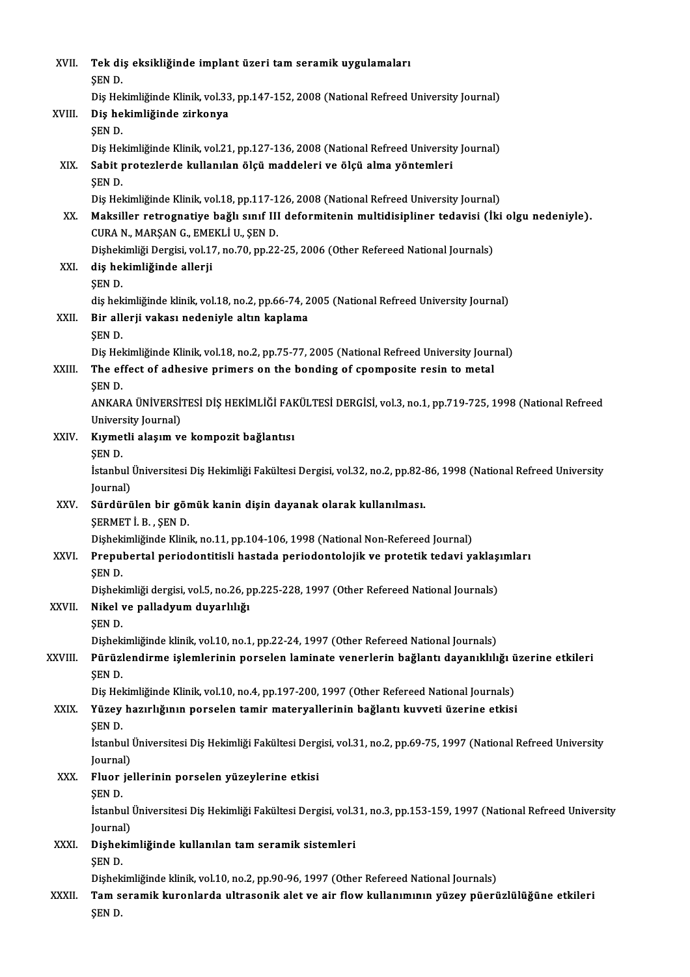| XVII.   | Tek diş eksikliğinde implant üzeri tam seramik uygulamaları<br>SEN D.                                                                                                           |
|---------|---------------------------------------------------------------------------------------------------------------------------------------------------------------------------------|
|         | Diş Hekimliğinde Klinik, vol.33, pp.147-152, 2008 (National Refreed University Journal)                                                                                         |
| XVIII.  | Diş hekimliğinde zirkonya<br>ŞEN D.                                                                                                                                             |
|         | Diş Hekimliğinde Klinik, vol.21, pp.127-136, 2008 (National Refreed University Journal)                                                                                         |
| XIX.    | Sabit protezlerde kullanılan ölçü maddeleri ve ölçü alma yöntemleri<br>ŞEN D.                                                                                                   |
|         | Diş Hekimliğinde Klinik, vol.18, pp.117-126, 2008 (National Refreed University Journal)                                                                                         |
| XX.     | Maksiller retrognatiye bağlı sınıf III deformitenin multidisipliner tedavisi (İki olgu nedeniyle).<br>CURA N., MARŞAN G., EMEKLİ U., ŞEN D.                                     |
|         | Dişhekimliği Dergisi, vol.17, no.70, pp.22-25, 2006 (Other Refereed National Journals)                                                                                          |
| XXI.    | diş hekimliğinde allerji<br>ŞEN D                                                                                                                                               |
|         | diş hekimliğinde klinik, vol.18, no.2, pp.66-74, 2005 (National Refreed University Journal)                                                                                     |
| XXII.   | Bir allerji vakası nedeniyle altın kaplama                                                                                                                                      |
|         | ŞEN D.                                                                                                                                                                          |
|         | Diş Hekimliğinde Klinik, vol.18, no.2, pp.75-77, 2005 (National Refreed University Journal)                                                                                     |
| XXIII.  | The effect of adhesive primers on the bonding of cpomposite resin to metal<br>ŞEN D.                                                                                            |
|         | ANKARA ÜNİVERSİTESİ DİŞ HEKİMLİĞİ FAKÜLTESİ DERGİSİ, vol.3, no.1, pp.719-725, 1998 (National Refreed                                                                            |
| XXIV.   | University Journal)<br>Kıymetli alaşım ve kompozit bağlantısı                                                                                                                   |
|         | <b>SEND</b>                                                                                                                                                                     |
|         | İstanbul Üniversitesi Diş Hekimliği Fakültesi Dergisi, vol.32, no.2, pp.82-86, 1998 (National Refreed University<br>Journal)                                                    |
| XXV     | Sürdürülen bir gömük kanin dişin dayanak olarak kullanılması.                                                                                                                   |
|         | ŞERMETİ B., ŞEND.                                                                                                                                                               |
|         | Dişhekimliğinde Klinik, no.11, pp.104-106, 1998 (National Non-Refereed Journal)                                                                                                 |
| XXVI.   | Prepubertal periodontitisli hastada periodontolojik ve protetik tedavi yaklaşımları                                                                                             |
|         | ŞEN D.                                                                                                                                                                          |
|         | Dişhekimliği dergisi, vol.5, no.26, pp.225-228, 1997 (Other Refereed National Journals)                                                                                         |
| XXVII.  | Nikel ve palladyum duyarlılığı                                                                                                                                                  |
|         | ŞEN D                                                                                                                                                                           |
|         | Dishekimliğinde klinik, vol.10, no.1, pp.22-24, 1997 (Other Refereed National Journals)                                                                                         |
| XXVIII. | Pürüzlendirme işlemlerinin porselen laminate venerlerin bağlantı dayanıklılığı üzerine etkileri                                                                                 |
|         | ŞEN D.                                                                                                                                                                          |
|         | Dis Hekimliğinde Klinik, vol.10, no.4, pp.197-200, 1997 (Other Refereed National Journals)<br>Yüzey hazırlığının porselen tamir materyallerinin bağlantı kuvveti üzerine etkisi |
| XXIX.   | SEN D.                                                                                                                                                                          |
|         | İstanbul Üniversitesi Diş Hekimliği Fakültesi Dergisi, vol.31, no.2, pp.69-75, 1997 (National Refreed University                                                                |
|         | Journal)                                                                                                                                                                        |
| XXX.    | Fluor jellerinin porselen yüzeylerine etkisi                                                                                                                                    |
|         | ŞEN D.                                                                                                                                                                          |
|         | İstanbul Üniversitesi Diş Hekimliği Fakültesi Dergisi, vol.31, no.3, pp.153-159, 1997 (National Refreed University                                                              |
|         | Journal)                                                                                                                                                                        |
| XXXI.   | Dişhekimliğinde kullanılan tam seramik sistemleri                                                                                                                               |
|         | ŞEN D                                                                                                                                                                           |
|         | Dishekimliğinde klinik, vol.10, no.2, pp.90-96, 1997 (Other Refereed National Journals)                                                                                         |
| XXXII.  | Tam seramik kuronlarda ultrasonik alet ve air flow kullanımının yüzey püerüzlülüğüne etkileri                                                                                   |
|         | ŞEN D.                                                                                                                                                                          |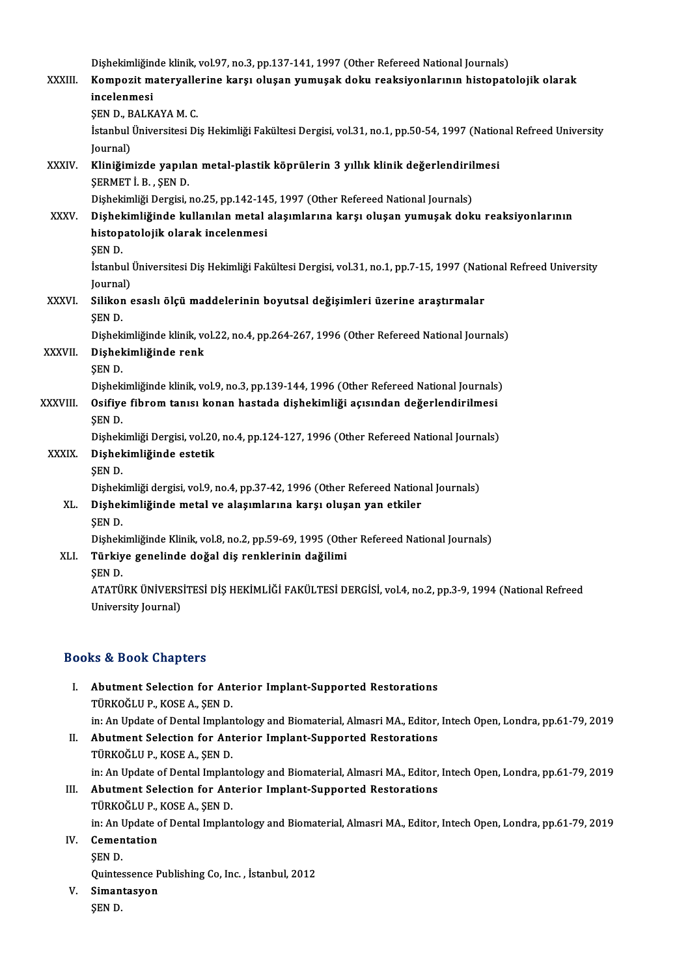|              | Dişhekimliğinde klinik, vol.97, no.3, pp.137-141, 1997 (Other Refereed National Journals)                        |
|--------------|------------------------------------------------------------------------------------------------------------------|
| XXXIII.      | Kompozit materyallerine karşı oluşan yumuşak doku reaksiyonlarının histopatolojik olarak                         |
|              | incelenmesi                                                                                                      |
|              | ŞEN D., BALKAYA M. C.                                                                                            |
|              | İstanbul Üniversitesi Diş Hekimliği Fakültesi Dergisi, vol.31, no.1, pp.50-54, 1997 (National Refreed University |
|              | Journal)                                                                                                         |
| XXXIV.       | Kliniğimizde yapılan metal-plastik köprülerin 3 yıllık klinik değerlendirilmesi                                  |
|              | ŞERMET İB, ŞEND                                                                                                  |
|              | Dişhekimliği Dergisi, no.25, pp.142-145, 1997 (Other Refereed National Journals)                                 |
| <b>XXXV</b>  | Dişhekimliğinde kullanılan metal alaşımlarına karşı oluşan yumuşak doku reaksiyonlarının                         |
|              | histopatolojik olarak incelenmesi                                                                                |
|              | SEN D.                                                                                                           |
|              | İstanbul Üniversitesi Diş Hekimliği Fakültesi Dergisi, vol.31, no.1, pp.7-15, 1997 (National Refreed University  |
|              | Journal)                                                                                                         |
| <b>XXXVI</b> | Silikon esaslı ölçü maddelerinin boyutsal değişimleri üzerine araştırmalar<br><b>SEND.</b>                       |
|              | Dishekimliğinde klinik, vol.22, no.4, pp.264-267, 1996 (Other Refereed National Journals)                        |
| XXXVII.      | Dişhekimliğinde renk                                                                                             |
|              | ŞEN D.                                                                                                           |
|              | Dishekimliğinde klinik, vol.9, no.3, pp.139-144, 1996 (Other Refereed National Journals)                         |
| XXXVIII.     | Osifiye fibrom tanısı konan hastada dişhekimliği açısından değerlendirilmesi                                     |
|              | ŞEN D.                                                                                                           |
|              | Dişhekimliği Dergisi, vol.20, no.4, pp.124-127, 1996 (Other Refereed National Journals)                          |
| <b>XXXIX</b> | Dişhekimliğinde estetik                                                                                          |
|              | <b>SEND</b>                                                                                                      |
|              | Dishekimliği dergisi, vol.9, no.4, pp.37-42, 1996 (Other Refereed National Journals)                             |
| XL.          | Dişhekimliğinde metal ve alaşımlarına karşı oluşan yan etkiler                                                   |
|              | <b>SEND</b>                                                                                                      |
|              | Dishekimliğinde Klinik, vol.8, no.2, pp.59-69, 1995 (Other Refereed National Journals)                           |
| XLI.         | Türkiye genelinde doğal diş renklerinin dağilimi                                                                 |
|              | <b>SEND.</b>                                                                                                     |
|              | ATATÜRK ÜNIVERSITESI DIŞ HEKIMLIĞI FAKÜLTESI DERGISI, vol.4, no.2, pp.3-9, 1994 (National Refreed                |
|              | University Journal)                                                                                              |
|              |                                                                                                                  |

### Books&Book Chapters

- OOks & Book Chapters<br>I. Abutment Selection for Anterior Implant-Supported Restorations<br>TURIOČLU R. KOSE A. SEN D to a Door anapeles<br>Abutment Selection for Ant<br>TÜRKOĞLUP., KOSE A., ŞEN D. TÜRKOĞLU P., KOSE A., ŞEN D.<br>in: An Update of Dental Implantology and Biomaterial, Almasri MA., Editor, Intech Open, Londra, pp.61-79, 2019
- II. Abutment Selection for Anterior Implant-Supported Restorations TÜRKOĞLUP.,KOSEA.,ŞEND. in: An Update of Dental Implantology and Biomaterial, Almasri MA., Editor, Intech Open, Londra, pp.61-79, 2019 TÜRKOĞLU P., KOSE A., ŞEN D.<br>in: An Update of Dental Implantology and Biomaterial, Almasri MA., Editor,<br>III. Abutment Selection for Anterior Implant-Supported Restorations<br>TÜRKOĞLU P. KOSE A. SEN D.
- in: An Update of Dental Implan<br>**Abutment Selection for Ant<br>TÜRKOĞLUP., KOSE A., ŞEN D.**<br>in: An Undate of Dental Implan Abutment Selection for Anterior Implant-Supported Restorations<br>TÜRKOĞLU P., KOSE A., ŞEN D.<br>in: An Update of Dental Implantology and Biomaterial, Almasri MA., Editor, Intech Open, Londra, pp.61-79, 2019<br>Comentation TÜRKOĞLU P., KOSE A., ŞEN D.<br>in: An Update of Dental Implan<br>IV. Cementation<br>SEN D.
- in: An I<br>Cemen<br>ŞEN D.<br>Quintes
	-

Cementation<br>ŞEN D.<br>Quintessence Publishing Co, Inc. , İstanbul, 2012<br>Simantasyon

- SEN D.<br>Quintessence P<br>V. Simantasyon<br>SEN D. Quinte:<br><mark>Siman</mark><br>ŞEN D.
	-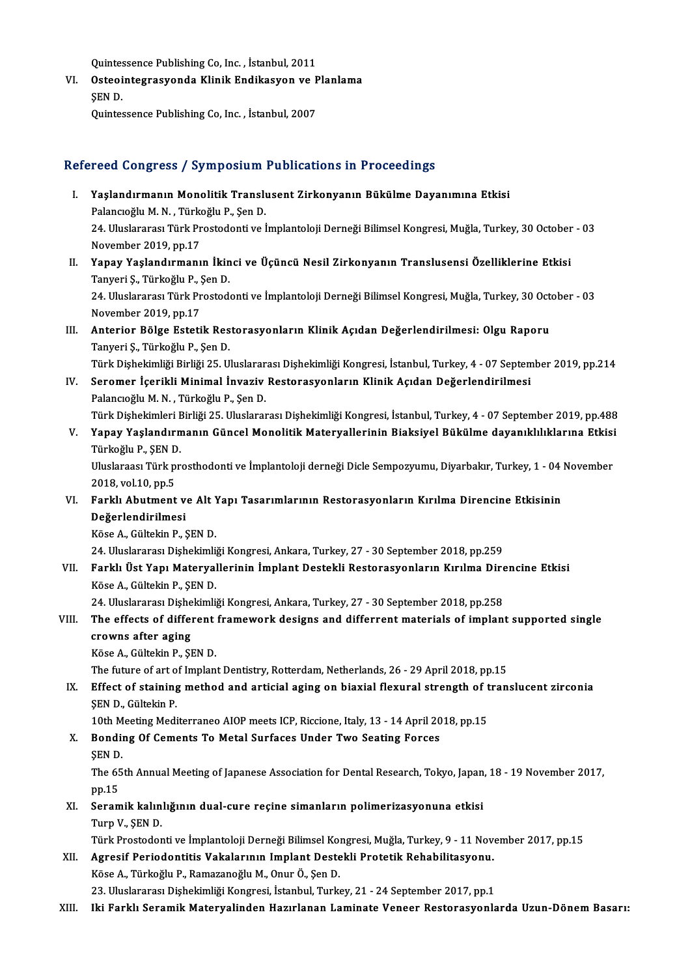Quintessence Publishing Co, Inc. , İstanbul, 2011<br>Ostaqintasyoquanda Klinik Endikagyan ve E

Quintessence Publishing Co, Inc. , İstanbul, 2011<br>VI. Osteointegrasyonda Klinik Endikasyon ve Planlama<br>SEN D Quintes<br>Osteoi<br>ŞEN D. Osteointegrasyonda Klinik Endikasyon ve P<br>ŞEN D.<br>Quintessence Publishing Co, Inc. , İstanbul, 2007

# Quintessence Publishing Co, Inc. , İstanbul, 2007<br>Refereed Congress / Symposium Publications in Proceedings

- efereed Congress / Symposium Publications in Proceedings<br>I. Yaşlandırmanın Monolitik Translusent Zirkonyanın Bükülme Dayanımına Etkisi Paslandırmanın Monolitik Translı<br>Paşlandırmanın Monolitik Translı<br>Palancıoğlu M. N. , Türkoğlu P., Şen D. Yaşlandırmanın Monolitik Translusent Zirkonyanın Bükülme Dayanımına Etkisi<br>Palancıoğlu M. N. , Türkoğlu P., Şen D.<br>24. Uluslararası Türk Prostodonti ve İmplantoloji Derneği Bilimsel Kongresi, Muğla, Turkey, 30 October - 03 Palancıoğlu M. N. , Türko<br>24. Uluslararası Türk Pr<br>November 2019, pp.17<br>Yanav Vaslandırmanı 24. Uluslararası Türk Prostodonti ve İmplantoloji Derneği Bilimsel Kongresi, Muğla, Turkey, 30 October<br>November 2019, pp.17<br>II. Yapay Yaşlandırmanın İkinci ve Üçüncü Nesil Zirkonyanın Translusensi Özelliklerine Etkisi<br>Ta
- November 2019, pp.17<br>**Yapay Yaşlandırmanın İkin**<br>Tanyeri Ş., Türkoğlu P., Şen D.<br>24. Uluslararseı Türk Prestad Yapay Yaşlandırmanın İkinci ve Üçüncü Nesil Zirkonyanın Translusensi Özelliklerine Etkisi<br>Tanyeri Ş., Türkoğlu P., Şen D.<br>24. Uluslararası Türk Prostodonti ve İmplantoloji Derneği Bilimsel Kongresi, Muğla, Turkey, 30 Octob Tanyeri Ş., Türkoğlu P., Şen D.<br>24. Uluslararası Türk Prostodonti ve İmplantoloji Derneği Bilimsel Kongresi, Muğla, Turkey, 30 October - 03<br>November 2019, pp.17
- 24. Uluslararası Türk Prostodonti ve İmplantoloji Derneği Bilimsel Kongresi, Muğla, Turkey, 30 Octon<br>November 2019, pp.17<br>III. Anterior Bölge Estetik Restorasyonların Klinik Açıdan Değerlendirilmesi: Olgu Raporu<br>Tenyeni November 2019, pp.17<br>**Anterior Bölge Estetik Res<br>Tanyeri Ş., Türkoğlu P., Şen D.**<br>Türk Diskokimliği Birliği 25, U. Anterior Bölge Estetik Restorasyonların Klinik Açıdan Değerlendirilmesi: Olgu Raporu<br>Tanyeri Ş., Türkoğlu P., Şen D.<br>Türk Dişhekimliği Birliği 25. Uluslararası Dişhekimliği Kongresi, İstanbul, Turkey, 4 - 07 September 2019

- Tanyeri Ş., Türkoğlu P., Şen D.<br>Türk Dişhekimliği Birliği 25. Uluslararası Dişhekimliği Kongresi, İstanbul, Turkey, 4 07 Septen<br>IV. Seromer İçerikli Minimal İnvaziv Restorasyonların Klinik Açıdan Değerlendirilmesi<br>Pa
- Türk Dişhekimliği Birliği 25. Uluslarar<br>Seromer İçerikli Minimal İnvaziv<br>Palancıoğlu M. N. , Türkoğlu P., Şen D.<br>Türk Dishekimleri Birliği 25. Uluslarar Palancıoğlu M. N. , Türkoğlu P., Şen D.<br>Türk Dişhekimleri Birliği 25. Uluslararası Dişhekimliği Kongresi, İstanbul, Turkey, 4 - 07 September 2019, pp.488 Palancıoğlu M. N. , Türkoğlu P., Şen D.<br>Türk Dişhekimleri Birliği 25. Uluslararası Dişhekimliği Kongresi, İstanbul, Turkey, 4 - 07 September 2019, pp.488<br>V. Yapay Yaşlandırmanın Güncel Monolitik Materyallerinin Biaksiy
- Türk Dişhekimleri <mark>E</mark><br>Yapay Yaşlandırm<br>Türkoğlu P., ŞEN D.<br>Uluslarassı Türk pr Yapay Yaşlandırmanın Güncel Monolitik Materyallerinin Biaksiyel Bükülme dayanıklılıklarına Etkisi<br>Türkoğlu P., ŞEN D.<br>Uluslaraası Türk prosthodonti ve İmplantoloji derneği Dicle Sempozyumu, Diyarbakır, Turkey, 1 - 04 Novem

Türkoğlu P., ŞEN D.<br>Uluslaraası Türk prosthodonti ve İmplantoloji derneği Dicle Sempozyumu, Diyarbakır, Turkey, 1 - 04 November<br>2018, vol.10, pp.5 Vluslaraası Türk prosthodonti ve İmplantoloji derneği Dicle Sempozyumu, Diyarbakır, Turkey, 1 - 04<br>2018, vol.10, pp.5<br>VI. Farklı Abutment ve Alt Yapı Tasarımlarının Restorasyonların Kırılma Direncine Etkisinin<br>Değerlendi

2018, vol.10, pp.5<br>Farklı Abutment v<br>Değerlendirilmesi<br><sup>Väss A</sup> Gükəkin B. S Farklı Abutment ve Alt Y<br>Değerlendirilmesi<br>Köse A., Gültekin P., ŞEN D.<br>24. Uluslararası Dishekimli D<mark>eğerlendirilmesi</mark><br>Köse A., Gültekin P., ŞEN D.<br>24. Uluslararası Dişhekimliği Kongresi, Ankara, Turkey, 27 - 30 September 2018, pp.259<br>Ferklı Üst Yanı Matervallerinin İmplent Destakli Bestarasıyanların Kırılma Dire

Köse A., Gültekin P., ŞEN D.<br>24. Uluslararası Dişhekimliği Kongresi, Ankara, Turkey, 27 - 30 September 2018, pp.259<br>VII. Farklı Üst Yapı Materyallerinin İmplant Destekli Restorasyonların Kırılma Direncine Etkisi 24. Uluslararası Dişhekimli<br>Farklı Üst Yapı Materyal<br>Köse A., Gültekin P., ŞEN D.<br>24. Uluslararası Dishekimli Farklı Üst Yapı Materyallerinin İmplant Destekli Restorasyonların Kırılma Dire<br>Köse A., Gültekin P., ŞEN D.<br>24. Uluslararası Dişhekimliği Kongresi, Ankara, Turkey, 27 - 30 September 2018, pp.258<br>The effecte of different fr

24. Uluslararası Dişhekimliği Kongresi, Ankara, Turkey, 27 - 30 September 2018, pp.258

# Köse A., Gültekin P., ŞEN D.<br>24. Uluslararası Dişhekimliği Kongresi, Ankara, Turkey, 27 - 30 September 2018, pp.258<br>VIII. The effects of different framework designs and differrent materials of implant supported single<br> crowns after aging<br>Köse A., Gültekin P., ŞEN D.<br>The future of art of Implant Dentistry, Rotterdam, Netherlands, 26 - 29 April 2018, pp.15<br>Effect of staining method and artisial asing an biaxial flexural strangth of tran

KöseA.,GültekinP.,ŞEND.

Köse A., Gültekin P., ŞEN D.<br>The future of art of Implant Dentistry, Rotterdam, Netherlands, 26 - 29 April 2018, pp.15<br>IX. Effect of staining method and articial aging on biaxial flexural strength of translucent zirconia<br>S The future of art o<br>Effect of staining<br>ŞEN D., Gültekin P.<br>10th Meeting Meeli Effect of staining method and articial aging on biaxial flexural strength of t<br>SEN D., Gültekin P.<br>10th Meeting Mediterraneo AIOP meets ICP, Riccione, Italy, 13 - 14 April 2018, pp.15<br>Bonding Of Coments To Metal Surfaces U

SEN D., Gültekin P.<br>10th Meeting Mediterraneo AIOP meets ICP, Riccione, Italy, 13 - 14 April 20<br>X. Bonding Of Cements To Metal Surfaces Under Two Seating Forces<br>SEN D. 10th M<br>Bondin<br>ŞEN D.<br>The E SEN D.

The 65th Annual Meeting of Japanese Association for Dental Research, Tokyo, Japan, 18 - 19 November 2017, pp.15

XI. Seramik kalınlığının dual-cure reçine simanların polimerizasyonuna etkisi Turp V., ŞEN D.

Türk Prostodonti ve İmplantoloji Derneği Bilimsel Kongresi, Muğla, Turkey, 9 - 11 November 2017, pp.15

- XII. Agresif Periodontitis Vakalarının Implant Destekli Protetik Rehabilitasyonu. KöseA.,TürkoğluP.,RamazanoğluM.,OnurÖ.,ŞenD. 23. Uluslararası Dişhekimliği Kongresi, İstanbul, Turkey, 21 - 24 September 2017, pp.1
- XIII. Iki Farklı Seramik Materyalinden Hazırlanan Laminate Veneer Restorasyonlarda Uzun-Dönem Basarı: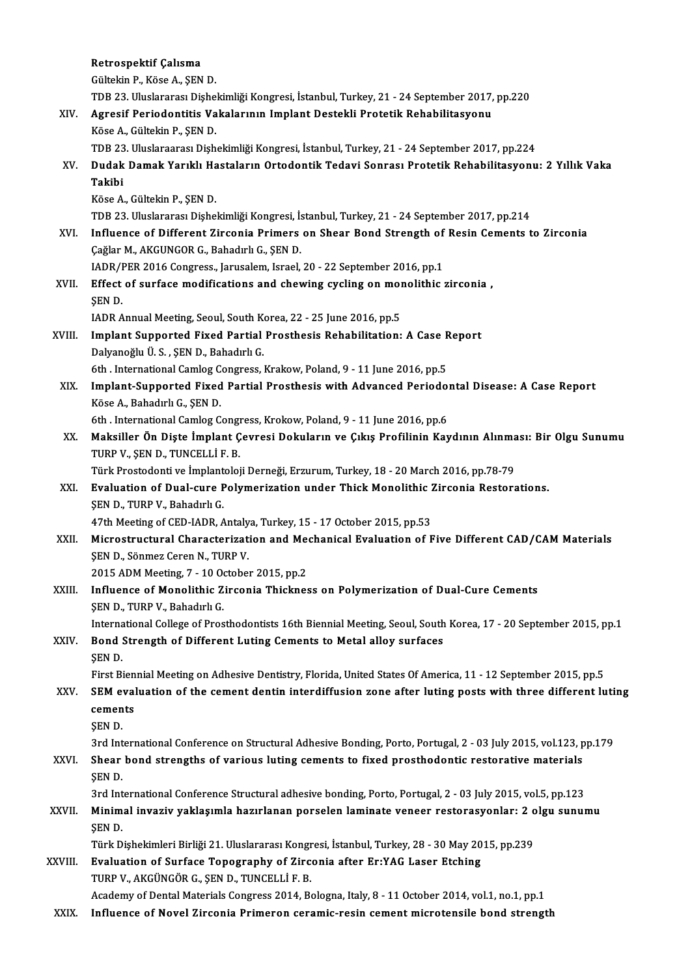|              | Retrospektif Çalısma                                                                                             |
|--------------|------------------------------------------------------------------------------------------------------------------|
|              | Gültekin P., Köse A., ŞEN D.                                                                                     |
|              | TDB 23. Uluslararası Dişhekimliği Kongresi, İstanbul, Turkey, 21 - 24 September 2017, pp.220                     |
| XIV.         | Agresif Periodontitis Vakalarının Implant Destekli Protetik Rehabilitasyonu                                      |
|              | Köse A., Gültekin P., ŞEN D.                                                                                     |
|              | TDB 23. Uluslaraarası Dişhekimliği Kongresi, İstanbul, Turkey, 21 - 24 September 2017, pp.224                    |
| XV.          | Dudak Damak Yarıklı Hastaların Ortodontik Tedavi Sonrası Protetik Rehabilitasyonu: 2 Yıllık Vaka<br>Takibi       |
|              | Köse A., Gültekin P., ŞEN D.                                                                                     |
|              | TDB 23. Uluslararası Dişhekimliği Kongresi, İstanbul, Turkey, 21 - 24 September 2017, pp.214                     |
| XVI.         | Influence of Different Zirconia Primers on Shear Bond Strength of Resin Cements to Zirconia                      |
|              | Çağlar M., AKGUNGOR G., Bahadırlı G., ŞEN D.                                                                     |
|              | IADR/PER 2016 Congress., Jarusalem, Israel, 20 - 22 September 2016, pp.1                                         |
| XVII.        | Effect of surface modifications and chewing cycling on monolithic zirconia,                                      |
|              | <b>SEND</b>                                                                                                      |
|              | IADR Annual Meeting, Seoul, South Korea, 22 - 25 June 2016, pp 5                                                 |
| XVIII.       | Implant Supported Fixed Partial Prosthesis Rehabilitation: A Case Report                                         |
|              | Dalyanoğlu Ü. S., ŞEN D., Bahadırlı G.                                                                           |
|              | 6th. International Camlog Congress, Krakow, Poland, 9 - 11 June 2016, pp.5                                       |
| XIX.         | Implant-Supported Fixed Partial Prosthesis with Advanced Periodontal Disease: A Case Report                      |
|              | Köse A., Bahadırlı G., ŞEN D.                                                                                    |
|              | 6th. International Camlog Congress, Krokow, Poland, 9 - 11 June 2016, pp.6                                       |
| XX.          | Maksiller Ön Dişte İmplant Çevresi Dokuların ve Çıkış Profilinin Kaydının Alınması: Bir Olgu Sunumu              |
|              | TURP V., ŞEN D., TUNCELLİ F. B.                                                                                  |
|              | Türk Prostodonti ve İmplantoloji Derneği, Erzurum, Turkey, 18 - 20 March 2016, pp.78-79                          |
| XXI.         | Evaluation of Dual-cure Polymerization under Thick Monolithic Zirconia Restorations.                             |
|              | ŞEN D., TURP V., Bahadırlı G.                                                                                    |
|              | 47th Meeting of CED-IADR, Antalya, Turkey, 15 - 17 October 2015, pp.53                                           |
| XXII.        | Microstructural Characterization and Mechanical Evaluation of Five Different CAD/CAM Materials                   |
|              | ŞEN D., Sönmez Ceren N., TURP V.                                                                                 |
|              | 2015 ADM Meeting, 7 - 10 October 2015, pp.2                                                                      |
| XXIII.       | Influence of Monolithic Zirconia Thickness on Polymerization of Dual-Cure Cements                                |
|              | ŞEN D., TURP V., Bahadırlı G.                                                                                    |
|              | International College of Prosthodontists 16th Biennial Meeting, Seoul, South Korea, 17 - 20 September 2015, pp.1 |
| XXIV.        | Bond Strength of Different Luting Cements to Metal alloy surfaces                                                |
|              | ŞEN D.                                                                                                           |
|              | First Biennial Meeting on Adhesive Dentistry, Florida, United States Of America, 11 - 12 September 2015, pp.5    |
| XXV.         | SEM evaluation of the cement dentin interdiffusion zone after luting posts with three different luting           |
|              | cements                                                                                                          |
|              | SEN D.                                                                                                           |
|              | 3rd International Conference on Structural Adhesive Bonding, Porto, Portugal, 2 - 03 July 2015, vol.123, pp.179  |
| XXVI.        | Shear bond strengths of various luting cements to fixed prosthodontic restorative materials                      |
|              | ŞEN D.                                                                                                           |
|              | 3rd International Conference Structural adhesive bonding, Porto, Portugal, 2 - 03 July 2015, vol.5, pp.123       |
| <b>XXVII</b> | Minimal invaziv yaklaşımla hazırlanan porselen laminate veneer restorasyonlar: 2 olgu sunumu                     |
|              | ŞEN D.                                                                                                           |
|              | Türk Dişhekimleri Birliği 21. Uluslararası Kongresi, İstanbul, Turkey, 28 - 30 May 2015, pp.239                  |
| XXVIII.      | Evaluation of Surface Topography of Zirconia after Er:YAG Laser Etching                                          |
|              | TURP V., AKGÜNGÖR G., ŞEN D., TUNCELLİ F. B.                                                                     |
|              | Academy of Dental Materials Congress 2014, Bologna, Italy, 8 - 11 October 2014, vol.1, no.1, pp.1                |
| XXIX.        | Influence of Novel Zirconia Primeron ceramic-resin cement microtensile bond strength                             |
|              |                                                                                                                  |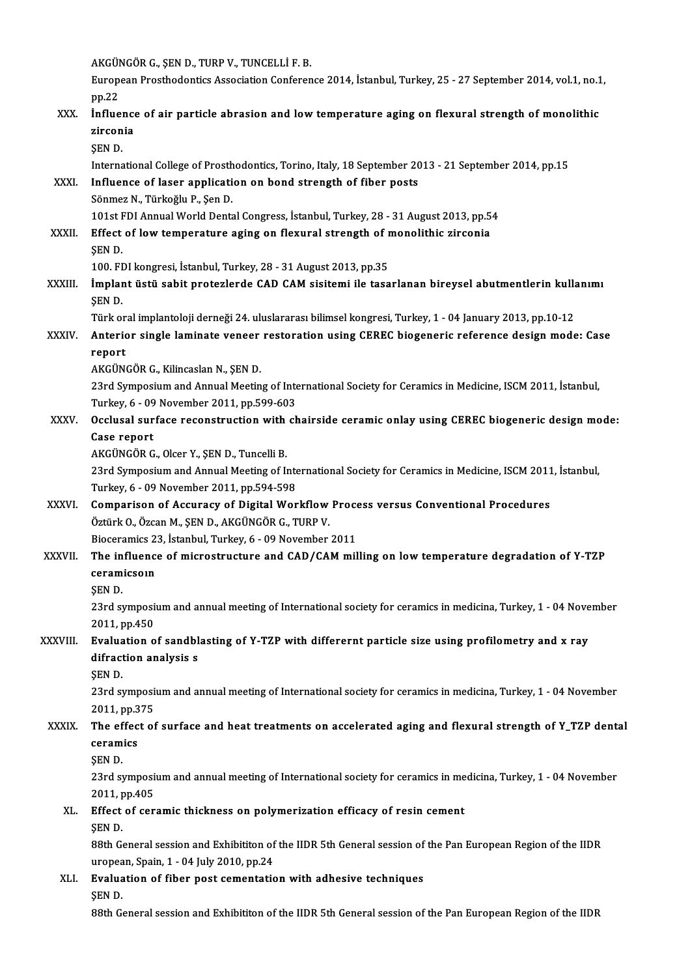AKGÜNGÖRG.,ŞEND.,TURPV.,TUNCELLİF.B.

AKGÜNGÖR G., ŞEN D., TURP V., TUNCELLİ F. B.<br>European Prosthodontics Association Conference 2014, İstanbul, Turkey, 25 - 27 September 2014, vol.1, no.1, AKGÜI<br>Europ<br>pp.22<br>influe

## European Prosthodontics Association Conference 2014, İstanbul, Turkey, 25 - 27 September 2014, vol.1, no.1<br>pp.22<br>XXX. İnfluence of air particle abrasion and low temperature aging on flexural strength of monolithic pp.22<br>Influence<br>zirconia<br>SEN D İnflue<br>zircon<br>ŞEN D.<br>Interna zirconia<br>ŞEN D.<br>International College of Prosthodontics, Torino, Italy, 18 September 2013 - 21 September 2014, pp.15<br>Influence of laser application on bond strength of fiber posts. SEN D.<br>International College of Prosthodontics, Torino, Italy, 18 September 20<br>XXXI. Influence of laser application on bond strength of fiber posts<br>Sanmar N. Türkoğlu B. Son D. International College of Prosth<br>Influence of laser applicati<br>Sönmez N., Türkoğlu P., Şen D.<br>101st EDL Annual World Donts Influence of laser application on bond strength of fiber posts<br>Sönmez N., Türkoğlu P., Şen D.<br>101st FDI Annual World Dental Congress, İstanbul, Turkey, 28 - 31 August 2013, pp.54<br>Fffect of Jour temperature aging en florura Sönmez N., Türkoğlu P., Şen D.<br>101st FDI Annual World Dental Congress, İstanbul, Turkey, 28 - 31 August 2013, pp.5<br>XXXII. Effect of low temperature aging on flexural strength of monolithic zirconia<br>SEN D. 101st H<br>Effect<br>ŞEN D.<br>100 EI Effect of low temperature aging on flexural strength of monolithic zirconia<br>SEN D.<br>100. FDI kongresi, İstanbul, Turkey, 28 - 31 August 2013, pp.35 ŞEN D.<br>100. FDI kongresi, İstanbul, Turkey, 28 - 31 August 2013, pp.35<br>XXXIII. İmplant üstü sabit protezlerde CAD CAM sisitemi ile tasarlanan bireysel abutmentlerin kullanımı<br>SEN D 100. FI<br>İmplar<br>ŞEN D.<br>Türk el İmplant üstü sabit protezlerde CAD CAM sisitemi ile tasarlanan bireysel abutmentlerin kulla<br>ŞEN D.<br>Türk oral implantoloji derneği 24. uluslararası bilimsel kongresi, Turkey, 1 - 04 January 2013, pp.10-12<br>Anterior single le \$EN D.<br>Türk oral implantoloji derneği 24. uluslararası bilimsel kongresi, Turkey, 1 - 04 January 2013, pp.10-12<br>XXXIV. Anterior single laminate veneer restoration using CEREC biogeneric reference design mode: Case<br>nepe Türk or<br><mark>Anterio</mark><br>report Anterior single laminate veneer<br>report<br>AKGÜNGÖR G., Kilincaslan N., ŞEN D.<br>22nd Sumnesium and Annual Meetin report<br>AKGÜNGÖR G., Kilincaslan N., ŞEN D.<br>23rd Symposium and Annual Meeting of International Society for Ceramics in Medicine, ISCM 2011, İstanbul,<br>Turkay 6., 09 November 2011, nr 599,693. AKGÜNGÖR G., Kilincaslan N., ŞEN D.<br>23rd Symposium and Annual Meeting of Inte<br>Turkey, 6 - 09 November 2011, pp.599-603<br>Osclusel surface resenstruction with sh 23rd Symposium and Annual Meeting of International Society for Ceramics in Medicine, ISCM 2011, İstanbul,<br>Turkey, 6 - 09 November 2011, pp.599-603<br>XXXV. Occlusal surface reconstruction with chairside ceramic onlay using CE Turkey, 6 - 09 November 2011, pp.599-603<br>Occlusal surface reconstruction with chairside ceramic onlay using CEREC biogeneric design mode:<br>Case report AKGÜNGÖR G., Olcer Y., ŞEN D., Tuncelli B. 23rd Symposium and Annual Meeting of International Society for Ceramics in Medicine, ISCM 2011, İstanbul, Turkey, 6 - 09 November 2011, pp.594-598 23rd Symposium and Annual Meeting of International Society for Ceramics in Medicine, ISCM 2011<br>Turkey, 6 - 09 November 2011, pp.594-598<br>XXXVI. Comparison of Accuracy of Digital Workflow Process versus Conventional Procedur Turkey, 6 - 09 November 2011, pp.594-598<br>Comparison of Accuracy of Digital Workflow<br>Öztürk O., Özcan M., ŞEN D., AKGÜNGÖR G., TURP V.<br>Bioseramise 22. İstanbul Turkey, 6., 09 November Comparison of Accuracy of Digital Workflow Proce<br>Öztürk O., Özcan M., ŞEN D., AKGÜNGÖR G., TURP V.<br>Bioceramics 23, İstanbul, Turkey, 6 - 09 November 2011<br>The influence of microstructure and GAD (GAM mil Öztürk O., Özcan M., ŞEN D., AKGÜNGÖR G., TURP V.<br>Bioceramics 23, İstanbul, Turkey, 6 - 09 November 2011<br>XXXVII. The influence of microstructure and CAD/CAM milling on low temperature degradation of Y-TZP Bioceramics 2<br>The influence<br>ceramicsoin<br>SEN D The in<br>ceram<br>ŞEN D.<br>22rd.c1 ceramicsoın<br>ŞEN D.<br>23rd symposium and annual meeting of International society for ceramics in medicina, Turkey, 1 - 04 November<br>2011. pp.450 **SEN D.<br>23rd symposit<br>2011, pp.450<br>Evaluation o** 23rd symposium and annual meeting of International society for ceramics in medicina, Turkey, 1 - 04 Nove<br>2011, pp.450<br>XXXVIII. Evaluation of sandblasting of Y-TZP with differernt particle size using profilometry and x ray<br> 2011, pp.450<br>Evaluation of sandbl<br>difraction analysis s<br>SEN D Evalua<br>difract<br>ŞEN D.<br>22rd.sr difraction analysis s<br>ŞEN D.<br>23rd symposium and annual meeting of International society for ceramics in medicina, Turkey, 1 - 04 November<br>2011, nn 375 **SEN D.<br>23rd symposit<br>2011, pp.375<br>The effect of** 23rd symposium and annual meeting of International society for ceramics in medicina, Turkey, 1 - 04 November<br>2011, pp.375<br>XXXIX. The effect of surface and heat treatments on accelerated aging and flexural strength of Y\_TZP 2011, pp.3<br>The effec<br>ceramics<br>SEN D The ef<br>ceram<br>ŞEN D.<br>22rd.c1 ceramics<br>ŞEN D.<br>23rd symposium and annual meeting of International society for ceramics in medicina, Turkey, 1 - 04 November<br>2011. pp.4.05 **SEN D.<br>23rd symposit<br>2011, pp.405<br>Effect of sex** 23rd symposium and annual meeting of International society for ceramics in me<br>2011, pp.405<br>XL. Effect of ceramic thickness on polymerization efficacy of resin cement<br>SEN D 2011, p<br>Effect<br>ŞEN D.<br>99th C. Effect of ceramic thickness on polymerization efficacy of resin cement<br>ŞEN D.<br>88th General session and Exhibititon of the IIDR 5th General session of the Pan European Region of the IIDR<br>wropean Spain 1, 04 July 2010 np 24. \$EN D.<br>88th General session and Exhibititon of<br>uropean, Spain, 1 - 04 July 2010, pp.24<br>Evaluation of fiber post comentatio 88th General session and Exhibititon of the IIDR 5th General session of<br>uropean, Spain, 1 - 04 July 2010, pp.24<br>XLI. Evaluation of fiber post cementation with adhesive techniques<br>SEN D uropean, Spain, 1 - 04 July 2010, pp.24<br>Evaluation of fiber post cementation with adhesive techniques<br>SEN D. 88th General session and Exhibititon of the IIDR 5th General session of the Pan European Region of the IIDR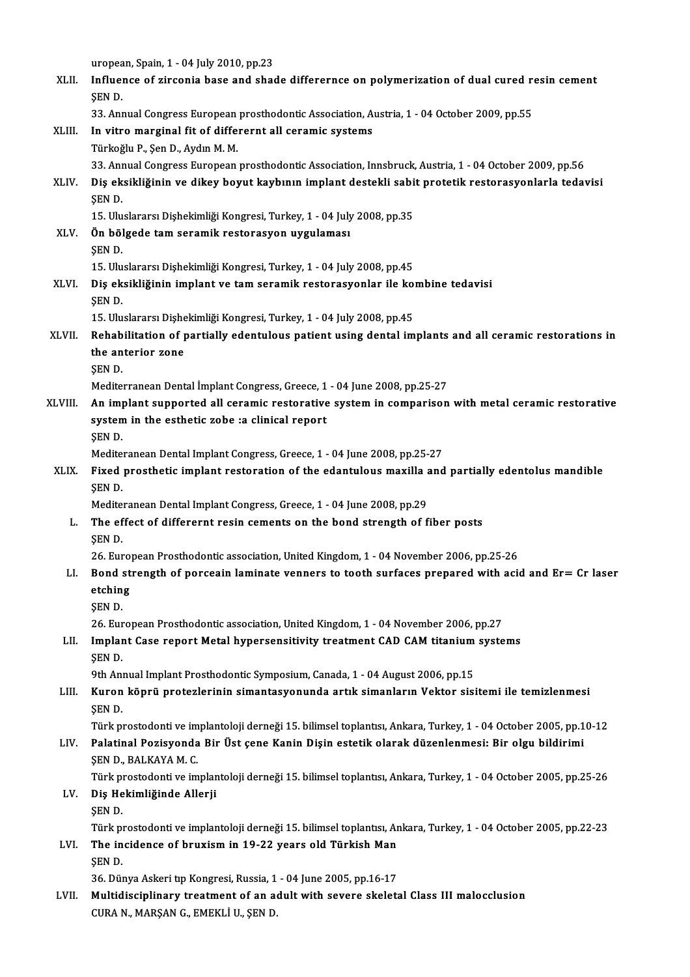|         | uropean, Spain, 1 - 04 July 2010, pp.23                                                                         |
|---------|-----------------------------------------------------------------------------------------------------------------|
| XLII.   | Influence of zirconia base and shade differernce on polymerization of dual cured resin cement<br>ŞEN D.         |
|         | 33. Annual Congress European prosthodontic Association, Austria, 1 - 04 October 2009, pp.55                     |
| XLIII.  | In vitro marginal fit of differernt all ceramic systems                                                         |
|         | Türkoğlu P., Şen D., Aydın M. M.                                                                                |
|         | 33. Annual Congress European prosthodontic Association, Innsbruck, Austria, 1 - 04 October 2009, pp.56          |
| XLIV.   | Diş eksikliğinin ve dikey boyut kaybının implant destekli sabit protetik restorasyonlarla tedavisi<br>ŞEN D.    |
|         | 15. Uluslararsı Dişhekimliği Kongresi, Turkey, 1 - 04 July 2008, pp.35                                          |
| XLV.    | Ön bölgede tam seramik restorasyon uygulaması                                                                   |
|         | <b>SEND</b>                                                                                                     |
|         | 15. Uluslararsı Dişhekimliği Kongresi, Turkey, 1 - 04 July 2008, pp.45                                          |
| XLVI.   | Diş eksikliğinin implant ve tam seramik restorasyonlar ile kombine tedavisi                                     |
|         | <b>SEND</b><br>15. Uluslararsı Dişhekimliği Kongresi, Turkey, 1 - 04 July 2008, pp.45                           |
| XLVII.  | Rehabilitation of partially edentulous patient using dental implants and all ceramic restorations in            |
|         | the anterior zone                                                                                               |
|         | ŞEN D.                                                                                                          |
|         | Mediterranean Dental İmplant Congress, Greece, 1 - 04 June 2008, pp.25-27                                       |
| XLVIII. | An implant supported all ceramic restorative system in comparison with metal ceramic restorative                |
|         | system in the esthetic zobe :a clinical report                                                                  |
|         | ŞEN D.                                                                                                          |
|         | Mediteranean Dental Implant Congress, Greece, 1 - 04 June 2008, pp.25-27                                        |
| XLIX.   | Fixed prosthetic implant restoration of the edantulous maxilla and partially edentolus mandible                 |
|         | ŞEN D.                                                                                                          |
|         | Mediteranean Dental Implant Congress, Greece, 1 - 04 June 2008, pp.29                                           |
| L.      | The effect of differernt resin cements on the bond strength of fiber posts                                      |
|         | SEN D.<br>26. European Prosthodontic association, United Kingdom, 1 - 04 November 2006, pp.25-26                |
| LI.     | Bond strength of porceain laminate venners to tooth surfaces prepared with acid and Er= Cr laser                |
|         | etching                                                                                                         |
|         | ŞEN D.                                                                                                          |
|         | 26. European Prosthodontic association, United Kingdom, 1 - 04 November 2006, pp.27                             |
| LII.    | Implant Case report Metal hypersensitivity treatment CAD CAM titanium systems                                   |
|         | ŞEN D.                                                                                                          |
|         | 9th Annual Implant Prosthodontic Symposium, Canada, 1 - 04 August 2006, pp.15                                   |
| LIII.   | Kuron köprü protezlerinin simantasyonunda artık simanların Vektor sisitemi ile temizlenmesi                     |
|         | ŞEN D.                                                                                                          |
|         | Türk prostodonti ve implantoloji derneği 15. bilimsel toplantısı, Ankara, Turkey, 1 - 04 October 2005, pp.10-12 |
| LIV.    | Palatinal Pozisyonda Bir Üst çene Kanin Dişin estetik olarak düzenlenmesi: Bir olgu bildirimi                   |
|         | ŞEN D., BALKAYA M. C.                                                                                           |
|         | Türk prostodonti ve implantoloji derneği 15. bilimsel toplantısı, Ankara, Turkey, 1 - 04 October 2005, pp.25-26 |
| LV.     | Diş Hekimliğinde Allerji<br><b>SEND</b>                                                                         |
|         | Türk prostodonti ve implantoloji derneği 15. bilimsel toplantısı, Ankara, Turkey, 1 - 04 October 2005, pp.22-23 |
| LVI.    | The incidence of bruxism in 19-22 years old Türkish Man                                                         |
|         | ŞEN D.                                                                                                          |
|         | 36. Dünya Askeri tıp Kongresi, Russia, 1 - 04 June 2005, pp.16-17                                               |
| LVII.   | Multidisciplinary treatment of an adult with severe skeletal Class III malocclusion                             |
|         | CURA N., MARŞAN G., EMEKLİ U., ŞEN D.                                                                           |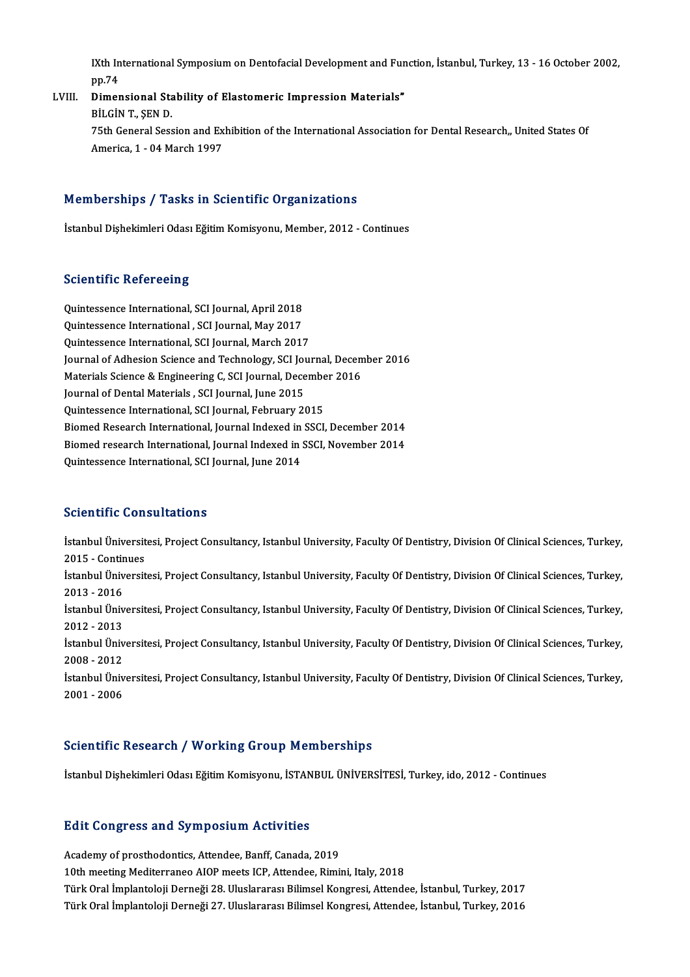IXth International Symposium on Dentofacial Development and Function, İstanbul, Turkey, 13 - 16 October 2002,<br>nn 74 IXth In<br>pp.74<br>Dimor IXth International Symposium on Dentofacial Development and Fun<br>pp.74<br>LVIII. Dimensional Stability of Elastomeric Impression Materials"

# pp.74<br>Dimensional Stability of Elastomeric Impression Materials"<br>BİLGİN T., SEN D. Dimensional Stability of Elastomeric Impression Materials"<br>BİLGİN T., ŞEN D.<br>75th General Session and Exhibition of the International Association for Dental Research,, United States Of<br>America 1 - 04 March 1997 BİLGİN T., ŞEN D.<br>75th General Session and Ex<br>America, 1 - 04 March 1997 America, 1 - 04 March 1997<br>Memberships / Tasks in Scientific Organizations

İstanbul Dişhekimleri Odası Eğitim Komisyonu, Member, 2012 - Continues

#### **Scientific Refereeing**

Quintessence International, SCI Journal, April 2018 Quintessence International, SCI Journal, May 2017 Quintessence International, SCI Journal, March 2017 Quintessence International , SCI Journal, May 2017<br>Quintessence International, SCI Journal, March 2017<br>Journal of Adhesion Science and Technology, SCI Journal, December 2016<br>Materials Science & Engineering C. SCI Journal, Quintessence International, SCI Journal, March 2017<br>Journal of Adhesion Science and Technology, SCI Journal, Decem<br>Materials Science & Engineering C, SCI Journal, December 2016<br>Journal of Dental Materials, SCI Journal, Jun Journal of Adhesion Science and Technology, SCI Journal, Dece<br>Materials Science & Engineering C, SCI Journal, Dece<br>Journal of Dental Materials , SCI Journal, June 2015<br>Quintessense International SCI Journal, February 20 Materials Science & Engineering C, SCI Journal, December 2016<br>Journal of Dental Materials , SCI Journal, June 2015<br>Quintessence International, SCI Journal, February 2015 Journal of Dental Materials , SCI Journal, June 2015<br>Quintessence International, SCI Journal, February 2015<br>Biomed Research International, Journal Indexed in SSCI, December 2014<br>Biomed research International, Journal Index Quintessence International, SCI Journal, February 2015<br>Biomed Research International, Journal Indexed in SSCI, December 2014<br>Biomed research International, Journal Indexed in SSCI, November 2014<br>Quintessence International, Biomed Research International, Journal Indexed in<br>Biomed research International, Journal Indexed in<br>Quintessence International, SCI Journal, June 2014 Quintessence International, SCI Journal, June 2014<br>Scientific Consultations

Scientific Consultations<br>İstanbul Üniversitesi, Project Consultancy, Istanbul University, Faculty Of Dentistry, Division Of Clinical Sciences, Turkey,<br>2015 - Continues bereiterte Gon<br>İstanbul Üniversit<br>2015 - Continues<br>İstanbul Üniversit İstanbul Üniversitesi, Project Consultancy, Istanbul University, Faculty Of Dentistry, Division Of Clinical Sciences, Turkey,<br>2015 - Continues<br>İstanbul Üniversitesi, Project Consultancy, Istanbul University, Faculty Of Den 2015 - Contin<br>İstanbul Üniv<br>2013 - 2016<br>İstanbul Üniv İstanbul Üniversitesi, Project Consultancy, Istanbul University, Faculty Of Dentistry, Division Of Clinical Sciences, Turkey,<br>2013 - 2016<br>İstanbul Üniversitesi, Project Consultancy, Istanbul University, Faculty Of Dentistr 2013 - 2016<br>İstanbul Üniv<br>2012 - 2013<br>İstanbul Üniv İstanbul Üniversitesi, Project Consultancy, Istanbul University, Faculty Of Dentistry, Division Of Clinical Sciences, Turkey,<br>2012 - 2013<br>İstanbul Üniversitesi, Project Consultancy, Istanbul University, Faculty Of Dentistr 2012 - 2013<br>İstanbul Üniversitesi, Project Consultancy, Istanbul University, Faculty Of Dentistry, Division Of Clinical Sciences, Turkey,<br>2008 - 2012 İstanbul Üniversitesi, Project Consultancy, Istanbul University, Faculty Of Dentistry, Division Of Clinical Sciences, Turkey,<br>2008 - 2012<br>İstanbul Üniversitesi, Project Consultancy, Istanbul University, Faculty Of Dentistr 2008 - 2012<br>İstanbul Üniv<br>2001 - 2006

# 2001 - 2006<br>Scientific Research / Working Group Memberships

İstanbul Dishekimleri Odası Eğitim Komisyonu, İSTANBUL ÜNİVERSİTESİ, Turkey, ido, 2012 - Continues

#### **Edit Congress and Symposium Activities**

Academy of prosthodontics, Attendee, Banff, Canada, 2019 10th meeting Mediterraneo AIOP meets ICP, Attendee, Rimini, Italy, 2018 Türk Oral İmplantoloji Derneği 28. Uluslararası Bilimsel Kongresi, Attendee, İstanbul, Turkey, 2017 Türk Oral İmplantoloji Derneği 27. Uluslararası Bilimsel Kongresi, Attendee, İstanbul, Turkey, 2016